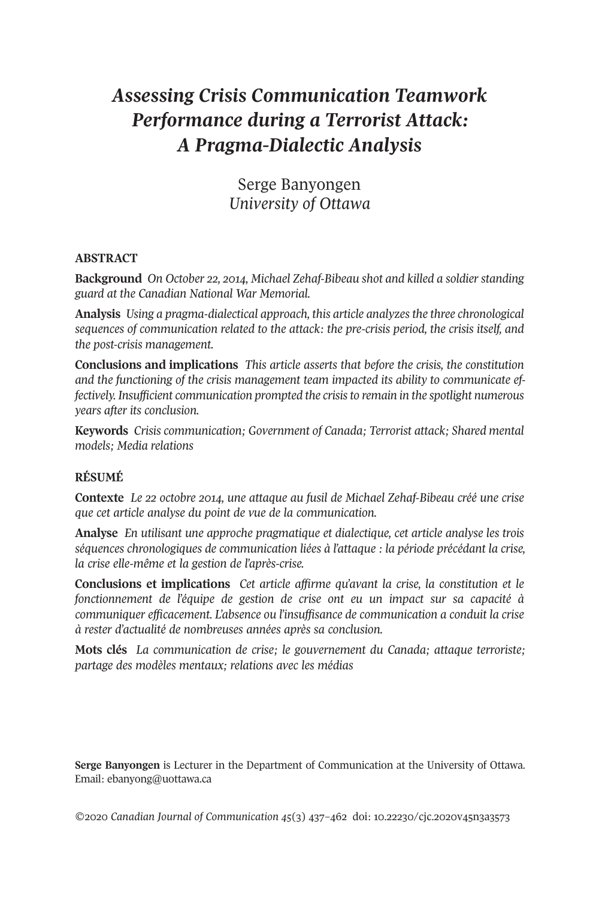# *Assessing Crisis Communication Teamwork Performance during a Terrorist Attack: A Pragma-Dialectic Analysis*

Serge Banyongen *University of Ottawa*

# **ABSTRACT**

**Background** *On October 22, 2014, Michael Zehaf-Bibeau shot and killed a soldier standing guard at the Canadian National War Memorial.*

**Analysis** *Using a pragma-dialectical approach, this article analyzesthe three chronological sequences of communication related to the attack: the pre-crisis period, the crisis itself, and the post-crisis management.*

**Conclusions and implications** *This article asserts that before the crisis, the constitution and the functioning of the crisis management team impacted its ability to communicate effectively. Insufficient communication prompted the crisisto remain in the spotlight numerous years after its conclusion.*

**Keywords** *Crisis communication; Government of Canada; Terrorist attack; Shared mental models; Media relations*

# **RÉSUMÉ**

**Contexte** *Le 22 octobre 2014, une attaque au fusil de Michael Zehaf-Bibeau créé une crise que cet article analyse du point de vue de la communication.*

**Analyse** *En utilisant une approche pragmatique et dialectique, cet article analyse les trois séquences chronologiques de communication liées à l'attaque : la période précédant la crise, la crise elle-même et la gestion de l'après-crise.*

**Conclusions et implications** *Cet article affirme qu'avant la crise, la constitution et le fonctionnement de l'équipe de gestion de crise ont eu un impact sur sa capacité à communiquer efficacement. L'absence ou l'insuffisance de communication a conduit la crise à rester d'actualité de nombreuses années après sa conclusion.*

**Mots clés** *La communication de crise; le gouvernement du Canada; attaque terroriste; partage des modèles mentaux; relations avec les médias*

**Serge Banyongen** is Lecturer in the Department of Communication at the University of Ottawa. Email: [ebanyong@uottawa.ca](mailto:ebanyong@uottawa.ca)

*©*2020 *Canadian Journal of [Communication](http://www.cjc-online.ca) 45*(3) 431–422 doi: [10.22230/cjc.2020v45n3a3513](http://doi.org/10.22230/cjc.2020v45n3a3573)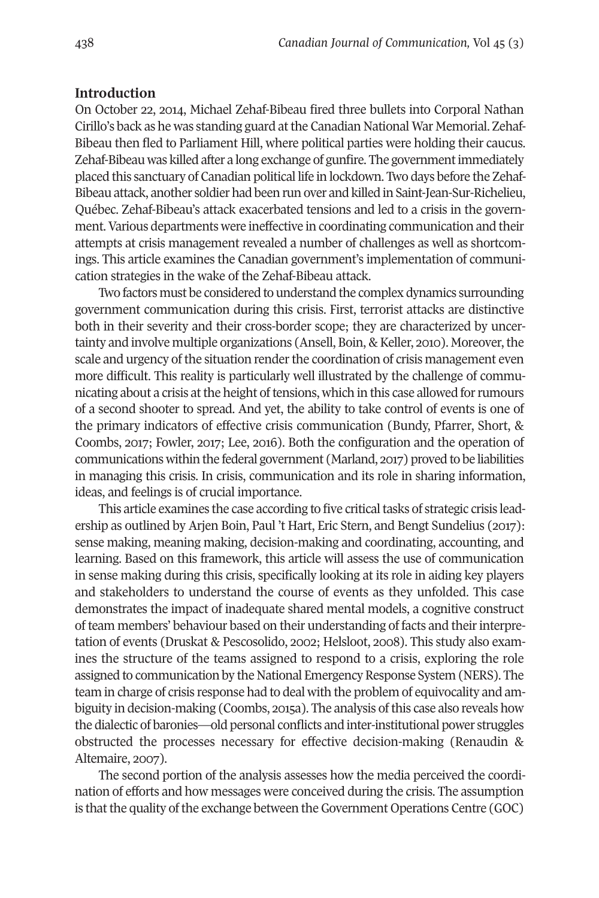#### **Introduction**

On October 22, 2014, Michael Zehaf-Bibeau fired three bullets into Corporal Nathan Cirillo's back as he was standing guard atthe Canadian National War Memorial. Zehaf-Bibeau then fled to Parliament Hill, where political parties were holding their caucus. Zehaf-Bibeau was killed after a long exchange of gunfire. The governmentimmediately placed this sanctuary of Canadian political life in lockdown. Two days before the Zehaf-Bibeau attack, another soldier had been run over and killed in Saint-Jean-Sur-Richelieu, Québec. Zehaf-Bibeau's attack exacerbated tensions and led to a crisis in the government.Various departments were ineffective in coordinating communication and their attempts at crisis management revealed a number of challenges as well as shortcomings. This article examines the Canadian government's implementation of communication strategies in the wake of the Zehaf-Bibeau attack.

Two factors must be considered to understand the complex dynamics surrounding government communication during this crisis. First, terrorist attacks are distinctive both in their severity and their cross-border scope; they are characterized by uncertainty and involve multiple organizations (Ansell, Boin, & Keller, 2010). Moreover, the scale and urgency of the situation render the coordination of crisis management even more difficult. This reality is particularly well illustrated by the challenge of communicating about a crisis at the height of tensions, which in this case allowed for rumours of a second shooter to spread. And yet, the ability to take control of events is one of the primary indicators of effective crisis communication (Bundy, Pfarrer, Short, & Coombs, 2017; Fowler, 2017; Lee, 2016). Both the configuration and the operation of communications within the federal government (Marland, 2017) proved to be liabilities in managing this crisis. In crisis, communication and its role in sharing information, ideas, and feelings is of crucial importance.

This article examines the case according to five critical tasks of strategic crisis leadership as outlined by Arjen Boin, Paul 't Hart, Eric Stern, and Bengt Sundelius (2017): sense making, meaning making, decision-making and coordinating, accounting, and learning. Based on this framework, this article will assess the use of communication in sense making during this crisis, specifically looking at its role in aiding key players and stakeholders to understand the course of events as they unfolded. This case demonstrates the impact of inadequate shared mental models, a cognitive construct of team members' behaviour based on their understanding of facts and theirinterpretation of events (Druskat & Pescosolido, 2002; Helsloot, 2008). This study also examines the structure of the teams assigned to respond to a crisis, exploring the role assigned to communication by the National Emergency Response System (NERS). The team in charge of crisis response had to deal with the problem of equivocality and ambiguity in decision-making (Coombs, 2015a). The analysis ofthis case also reveals how the dialectic of baronies—old personal conflicts and inter-institutional power struggles obstructed the processes necessary for effective decision-making (Renaudin & Altemaire, 2007).

The second portion of the analysis assesses how the media perceived the coordination of efforts and how messages were conceived during the crisis. The assumption is that the quality of the exchange between the Government Operations Centre (GOC)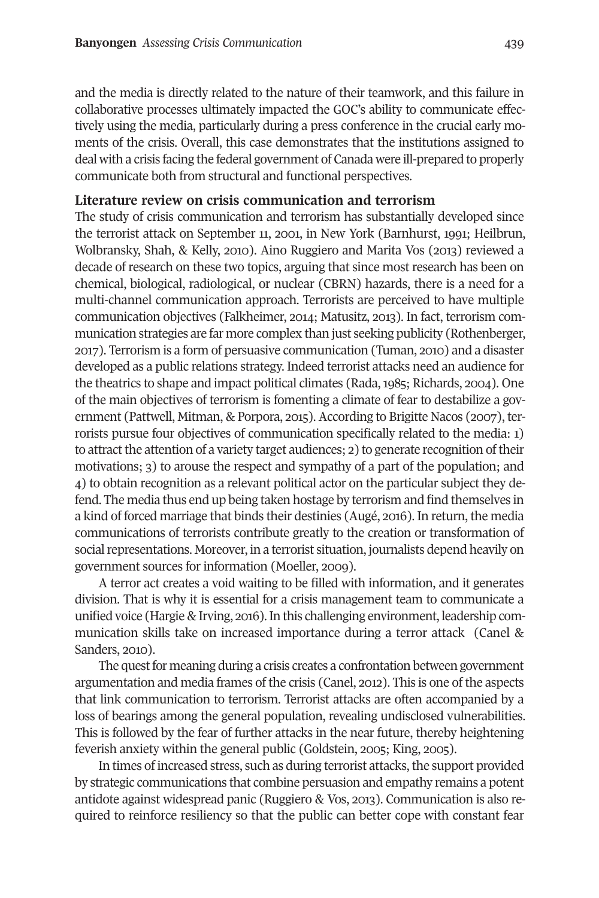and the media is directly related to the nature of their teamwork, and this failure in collaborative processes ultimately impacted the GOC's ability to communicate effectively using the media, particularly during a press conference in the crucial early moments of the crisis. Overall, this case demonstrates that the institutions assigned to deal with a crisis facing the federal government of Canada were ill-prepared to properly communicate both from structural and functional perspectives.

#### **Literature review on crisis communication and terrorism**

The study of crisis communication and terrorism has substantially developed since the terrorist attack on September 11, 2001, in New York (Barnhurst, 1991; Heilbrun, Wolbransky, Shah, & Kelly, 2010). Aino Ruggiero and Marita Vos (2013) reviewed a decade of research on these two topics, arguing that since most research has been on chemical, biological, radiological, or nuclear (CBRN) hazards, there is a need for a multi-channel communication approach. Terrorists are perceived to have multiple communication objectives (Falkheimer, 2014; Matusitz, 2013). In fact, terrorism communication strategies are far more complex than just seeking publicity (Rothenberger, 2011). Terrorism is a form of persuasive communication (Tuman, 2010) and a disaster developed as a public relations strategy. Indeed terrorist attacks need an audience for the theatrics to shape and impact political climates (Rada, 1985; Richards, 2004). One of the main objectives of terrorism is fomenting a climate of fear to destabilize a government (Pattwell, Mitman, & Porpora, 2015). According to Brigitte Nacos (2007), terrorists pursue four objectives of communication specifically related to the media: 1) to attract the attention of a variety target audiences; 2) to generate recognition of their motivations; 3) to arouse the respect and sympathy of a part of the population; and 4) to obtain recognition as a relevant political actor on the particular subject they defend. The media thus end up being taken hostage by terrorism and find themselves in a kind of forced marriage that binds their destinies (Augé, 2012). In return, the media communications of terrorists contribute greatly to the creation or transformation of social representations. Moreover, in a terrorist situation, journalists depend heavily on government sources for information (Moeller, 2009).

A terror act creates a void waiting to be filled with information, and it generates division. That is why it is essential for a crisis management team to communicate a unified voice (Hargie & Irving, 2012).In this challenging environment, leadership communication skills take on increased importance during a terror attack (Canel & Sanders, 2010).

The quest for meaning during a crisis creates a confrontation between government argumentation and media frames of the crisis (Canel, 2012). This is one of the aspects that link communication to terrorism. Terrorist attacks are often accompanied by a loss of bearings among the general population, revealing undisclosed vulnerabilities. This is followed by the fear of further attacks in the near future, thereby heightening feverish anxiety within the general public (Goldstein, 2005; King, 2005).

In times of increased stress, such as during terrorist attacks, the support provided by strategic communications that combine persuasion and empathy remains a potent antidote against widespread panic (Ruggiero & Vos, 2013). Communication is also required to reinforce resiliency so that the public can better cope with constant fear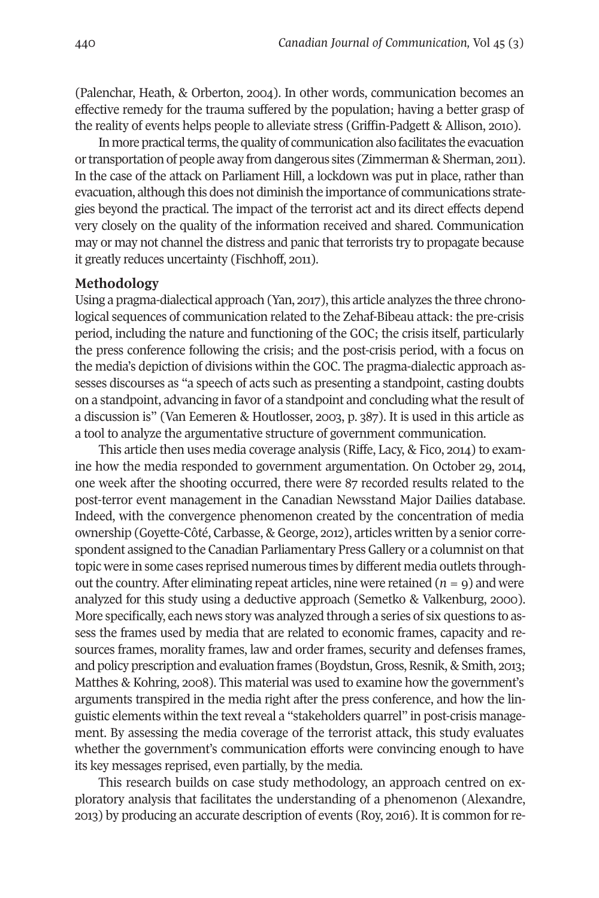(Palenchar, Heath, & Orberton, 2004). In other words, communication becomes an effective remedy for the trauma suffered by the population; having a better grasp of the reality of events helps people to alleviate stress (Griffin-Padgett & Allison, 2010).

In more practical terms, the quality of communication also facilitates the evacuation ortransportation of people away from dangerous sites (Zimmerman & Sherman, 2011). In the case of the attack on Parliament Hill, a lockdown was put in place, rather than evacuation, although this does not diminish the importance of communications strategies beyond the practical. The impact of the terrorist act and its direct effects depend very closely on the quality of the information received and shared. Communication may or may not channel the distress and panic that terrorists try to propagate because it greatly reduces uncertainty (Fischhoff, 2011).

#### **Methodology**

Using a pragma-dialectical approach (Yan, 2017), this article analyzes the three chronological sequences of communication related to the Zehaf-Bibeau attack: the pre-crisis period, including the nature and functioning of the GOC; the crisis itself, particularly the press conference following the crisis; and the post-crisis period, with a focus on the media's depiction of divisions within the GOC. The pragma-dialectic approach assesses discourses as "a speech of acts such as presenting a standpoint, casting doubts on a standpoint, advancing in favor of a standpoint and concluding what the result of a discussion is" (Van Eemeren & Houtlosser, 2003, p. 387). It is used in this article as a tool to analyze the argumentative structure of government communication.

This article then uses media coverage analysis (Riffe, Lacy, & Fico, 2014) to examine how the media responded to government argumentation. On October 29, 2014, one week after the shooting occurred, there were 87 recorded results related to the post-terror event management in the Canadian Newsstand Major Dailies database. Indeed, with the convergence phenomenon created by the concentration of media ownership (Goyette-Côté, Carbasse, & George, 2012), articles written by a senior correspondent assigned to the Canadian Parliamentary Press Gallery or a columnist on that topic were in some cases reprised numerous times by different media outlets throughout the country. After eliminating repeat articles, nine were retained  $(n = 9)$  and were analyzed for this study using a deductive approach (Semetko & Valkenburg, 2000). More specifically, each news story was analyzed through a series of six questions to assess the frames used by media that are related to economic frames, capacity and resources frames, morality frames, law and order frames, security and defenses frames, and policy prescription and evaluation frames (Boydstun,Gross,Resnik, & Smith, 2013; Matthes & Kohring, 2008). This material was used to examine how the government's arguments transpired in the media right after the press conference, and how the linguistic elements within the textreveal a "stakeholders quarrel" in post-crisis management. By assessing the media coverage of the terrorist attack, this study evaluates whether the government's communication efforts were convincing enough to have its key messages reprised, even partially, by the media.

This research builds on case study methodology, an approach centred on exploratory analysis that facilitates the understanding of a phenomenon (Alexandre, 2013) by producing an accurate description of events (Roy, 2012). It is common forre-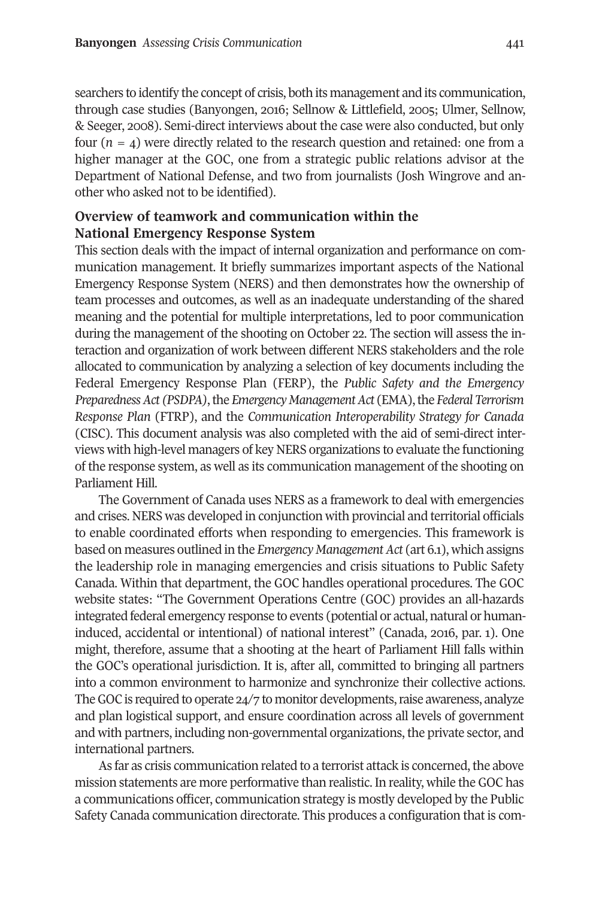searchers to identify the concept of crisis, both its management and its communication, through case studies (Banyongen, 2012; Sellnow & Littlefield, 2005; Ulmer, Sellnow, & Seeger, 2008). Semi-direct interviews about the case were also conducted, but only four  $(n = 4)$  were directly related to the research question and retained: one from a higher manager at the GOC, one from a strategic public relations advisor at the Department of National Defense, and two from journalists (Josh Wingrove and another who asked not to be identified).

# **Overview of teamwork and communication within the National Emergency Response System**

This section deals with the impact of internal organization and performance on communication management. It briefly summarizes important aspects of the National Emergency Response System (NERS) and then demonstrates how the ownership of team processes and outcomes, as well as an inadequate understanding of the shared meaning and the potential for multiple interpretations, led to poor communication during the management of the shooting on October 22. The section will assess the interaction and organization of work between different NERS stakeholders and the role allocated to communication by analyzing a selection of key documents including the Federal Emergency Response Plan (FERP), the *Public Safety and the Emergency Preparedness Act (PSDPA)*, the *Emergency Management Act* (*EMA*), the *Federal Terrorism Response Plan* (FTRP), and the *Communication Interoperability Strategy for Canada* (CISC). This document analysis was also completed with the aid of semi-direct interviews with high-level managers of key NERS organizations to evaluate the functioning of the response system, as well as its communication management of the shooting on Parliament Hill.

The Government of Canada uses NERS as a framework to deal with emergencies and crises. NERS was developed in conjunction with provincial and territorial officials to enable coordinated efforts when responding to emergencies. This framework is based on measures outlined in the *Emergency Management Act* (art 6.1), which assigns the leadership role in managing emergencies and crisis situations to Public Safety Canada. Within that department, the GOC handles operational procedures. The GOC website states: "The Government Operations Centre (GOC) provides an all-hazards integrated federal emergency response to events (potential or actual, natural or humaninduced, accidental or intentional) of national interest" (Canada, 2012, par. 1). One might, therefore, assume that a shooting at the heart of Parliament Hill falls within the GOC's operational jurisdiction. It is, after all, committed to bringing all partners into a common environment to harmonize and synchronize their collective actions. The GOC is required to operate 24/7 to monitor developments, raise awareness, analyze and plan logistical support, and ensure coordination across all levels of government and with partners, including non-governmental organizations, the private sector, and international partners.

As far as crisis communication related to a terrorist attack is concerned, the above mission statements are more performative than realistic. In reality, while the GOC has a communications officer, communication strategy is mostly developed by the Public Safety Canada communication directorate. This produces a configuration that is com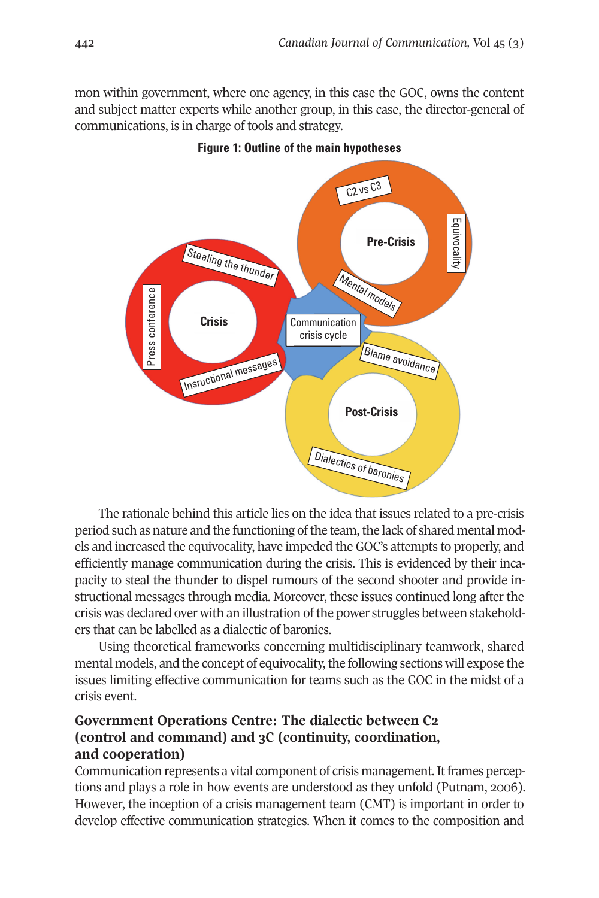mon within government, where one agency, in this case the GOC, owns the content and subject matter experts while another group, in this case, the director-general of communications, is in charge of tools and strategy.



**Figure 1: Outline of the main hypotheses**

The rationale behind this article lies on the idea that issues related to a pre-crisis period such as nature and the functioning of the team, the lack of shared mental models and increased the equivocality, have impeded the GOC's attempts to properly, and efficiently manage communication during the crisis. This is evidenced by their incapacity to steal the thunder to dispel rumours of the second shooter and provide instructional messages through media. Moreover, these issues continued long after the crisis was declared over with an illustration of the power struggles between stakeholders that can be labelled as a dialectic of baronies.

Using theoretical frameworks concerning multidisciplinary teamwork, shared mental models, and the concept of equivocality, the following sections will expose the issues limiting effective communication for teams such as the GOC in the midst of a crisis event.

# **Government Operations Centre: The dialectic between C2 (control and command) and 3C (continuity, coordination, and cooperation)**

Communication represents a vital component of crisis management. It frames perceptions and plays a role in how events are understood as they unfold (Putnam, 2002). However, the inception of a crisis management team (CMT) is important in order to develop effective communication strategies. When it comes to the composition and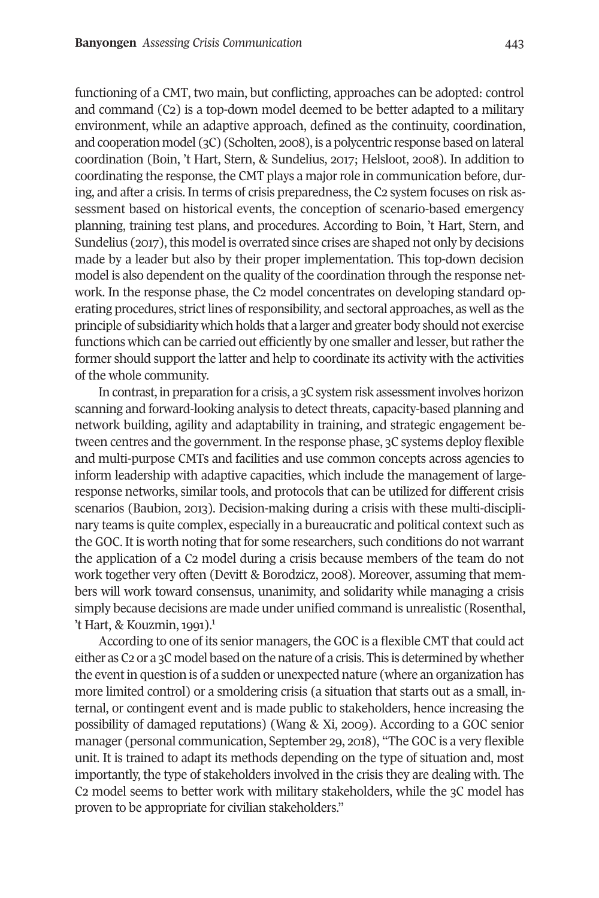functioning of a CMT, two main, but conflicting, approaches can be adopted: control and command (C2) is a top-down model deemed to be better adapted to a military environment, while an adaptive approach, defined as the continuity, coordination, and cooperation model (3C) (Scholten, 2008), is a polycentric response based on lateral coordination (Boin, 't Hart, Stern, & Sundelius, 2011; Helsloot, 2008). In addition to coordinating the response, the CMT plays a majorrole in communication before, during, and after a crisis. In terms of crisis preparedness, the C2 system focuses on risk assessment based on historical events, the conception of scenario-based emergency planning, training test plans, and procedures. According to Boin, 't Hart, Stern, and Sundelius (2017), this model is overrated since crises are shaped not only by decisions made by a leader but also by their proper implementation. This top-down decision model is also dependent on the quality of the coordination through the response network. In the response phase, the C2 model concentrates on developing standard operating procedures, strictlines ofresponsibility, and sectoral approaches, as well as the principle of subsidiarity which holds that a larger and greater body should not exercise functions which can be carried out efficiently by one smaller and lesser, but rather the former should support the latter and help to coordinate its activity with the activities of the whole community.

In contrast, in preparation for a crisis, a 3C system risk assessmentinvolves horizon scanning and forward-looking analysis to detect threats, capacity-based planning and network building, agility and adaptability in training, and strategic engagement between centres and the government. In the response phase, 3C systems deploy flexible and multi-purpose CMTs and facilities and use common concepts across agencies to inform leadership with adaptive capacities, which include the management of largeresponse networks, similar tools, and protocols that can be utilized for different crisis scenarios (Baubion, 2013). Decision-making during a crisis with these multi-disciplinary teams is quite complex, especially in a bureaucratic and political context such as the GOC. It is worth noting that for some researchers, such conditions do not warrant the application of a C2 model during a crisis because members of the team do not work together very often (Devitt & Borodzicz, 2008). Moreover, assuming that members will work toward consensus, unanimity, and solidarity while managing a crisis simply because decisions are made under unified command is unrealistic (Rosenthal, 't Hart,  $& Kouzmin, 1991$  $& Kouzmin, 1991$  $& Kouzmin, 1991$ .

According to one of its senior managers, the GOC is a flexible CMT that could act either as C2 or a 3C model based on the nature of a crisis. This is determined by whether the eventin question is of a sudden or unexpected nature (where an organization has more limited control) or a smoldering crisis (a situation that starts out as a small, internal, or contingent event and is made public to stakeholders, hence increasing the possibility of damaged reputations) (Wang & Xi, 2009). According to a GOC senior manager (personal communication, September 29, 2018), "The GOC is a very flexible unit. It is trained to adapt its methods depending on the type of situation and, most importantly, the type of stakeholders involved in the crisis they are dealing with. The C2 model seems to better work with military stakeholders, while the 3C model has proven to be appropriate for civilian stakeholders."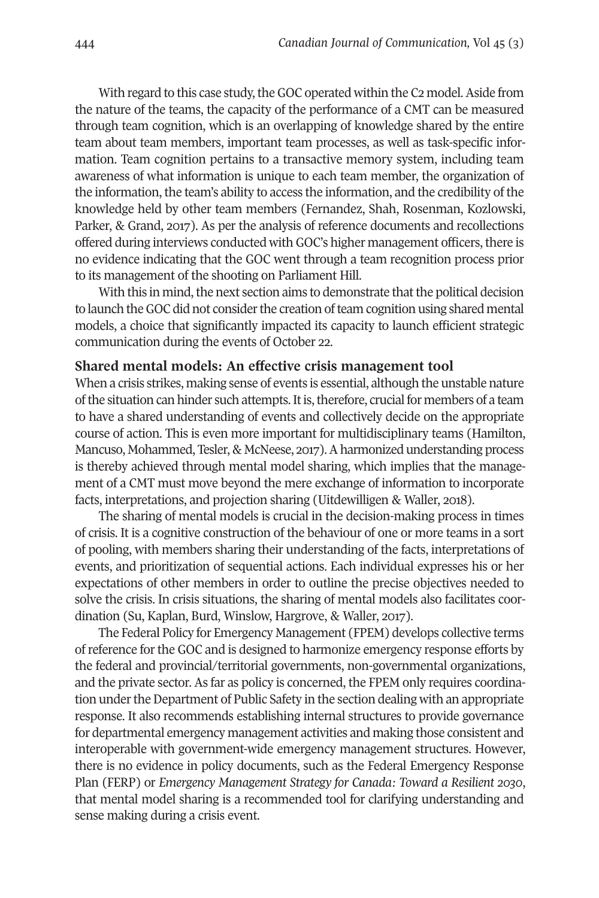With regard to this case study, the GOC operated within the C2 model. Aside from the nature of the teams, the capacity of the performance of a CMT can be measured through team cognition, which is an overlapping of knowledge shared by the entire team about team members, important team processes, as well as task-specific information. Team cognition pertains to a transactive memory system, including team awareness of what information is unique to each team member, the organization of the information, the team's ability to access the information, and the credibility of the knowledge held by other team members (Fernandez, Shah, Rosenman, Kozlowski, Parker, & Grand, 2017). As per the analysis of reference documents and recollections offered during interviews conducted with GOC's higher management officers, there is no evidence indicating that the GOC went through a team recognition process prior to its management of the shooting on Parliament Hill.

With this in mind, the next section aims to demonstrate that the political decision to launch the GOC did not consider the creation of team cognition using shared mental models, a choice that significantly impacted its capacity to launch efficient strategic communication during the events of October 22.

#### **Shared mental models: An effective crisis management tool**

When a crisis strikes, making sense of events is essential, although the unstable nature of the situation can hinder such attempts. It is, therefore, crucial for members of a team to have a shared understanding of events and collectively decide on the appropriate course of action. This is even more important for multidisciplinary teams (Hamilton, Mancuso, Mohammed, Tesler, & McNeese, 2017). A harmonized understanding process is thereby achieved through mental model sharing, which implies that the management of a CMT must move beyond the mere exchange of information to incorporate facts, interpretations, and projection sharing (Uitdewilligen & Waller, 2018).

The sharing of mental models is crucial in the decision-making process in times of crisis. It is a cognitive construction of the behaviour of one or more teams in a sort of pooling, with members sharing their understanding of the facts, interpretations of events, and prioritization of sequential actions. Each individual expresses his or her expectations of other members in order to outline the precise objectives needed to solve the crisis. In crisis situations, the sharing of mental models also facilitates coordination (Su, Kaplan, Burd, Winslow, Hargrove, & Waller, 2017).

The Federal Policy for Emergency Management (FPEM) develops collective terms ofreference forthe GOC and is designed to harmonize emergency response efforts by the federal and provincial/territorial governments, non-governmental organizations, and the private sector. As far as policy is concerned, the FPEM only requires coordination under the Department of Public Safety in the section dealing with an appropriate response. It also recommends establishing internal structures to provide governance for departmental emergency management activities and making those consistent and interoperable with government-wide emergency management structures. However, there is no evidence in policy documents, such as the Federal Emergency Response Plan (FERP) or *Emergency Management Strategy for Canada: Toward a Resilient 2030*, that mental model sharing is a recommended tool for clarifying understanding and sense making during a crisis event.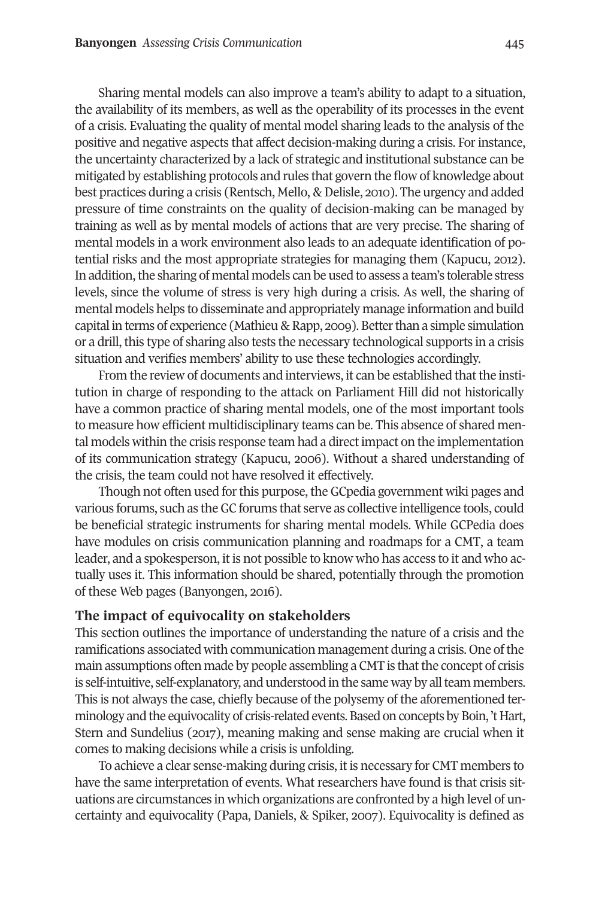Sharing mental models can also improve a team's ability to adapt to a situation, the availability of its members, as well as the operability of its processes in the event of a crisis. Evaluating the quality of mental model sharing leads to the analysis of the positive and negative aspects that affect decision-making during a crisis. For instance, the uncertainty characterized by a lack of strategic and institutional substance can be mitigated by establishing protocols and rules that govern the flow of knowledge about best practices during a crisis (Rentsch, Mello, & Delisle, 2010). The urgency and added pressure of time constraints on the quality of decision-making can be managed by training as well as by mental models of actions that are very precise. The sharing of mental models in a work environment also leads to an adequate identification of potential risks and the most appropriate strategies for managing them (Kapucu, 2012). In addition, the sharing of mental models can be used to assess a team's tolerable stress levels, since the volume of stress is very high during a crisis. As well, the sharing of mental models helps to disseminate and appropriately manage information and build capital in terms of experience (Mathieu & Rapp, 2009). Better than a simple simulation or a drill, this type of sharing also tests the necessary technological supports in a crisis situation and verifies members' ability to use these technologies accordingly.

From the review of documents and interviews, it can be established that the institution in charge of responding to the attack on Parliament Hill did not historically have a common practice of sharing mental models, one of the most important tools to measure how efficient multidisciplinary teams can be. This absence of shared mental models within the crisis response team had a directimpact on the implementation of its communication strategy (Kapucu, 2002). Without a shared understanding of the crisis, the team could not have resolved it effectively.

Though not often used for this purpose, the GCpedia government wiki pages and various forums, such as theGC forums that serve as collective intelligence tools, could be beneficial strategic instruments for sharing mental models. While GCPedia does have modules on crisis communication planning and roadmaps for a CMT, a team leader, and a spokesperson, it is not possible to know who has access to it and who actually uses it. This information should be shared, potentially through the promotion of these Web pages (Banyongen, 2016).

#### **The impact of equivocality on stakeholders**

This section outlines the importance of understanding the nature of a crisis and the ramifications associated with communication management during a crisis. One of the main assumptions often made by people assembling a CMT is that the concept of crisis is self-intuitive, self-explanatory, and understood in the same way by all team members. This is not always the case, chiefly because of the polysemy of the aforementioned terminology and the equivocality of crisis-related events. Based on concepts by Boin, 't Hart, Stern and Sundelius (2017), meaning making and sense making are crucial when it comes to making decisions while a crisis is unfolding.

To achieve a clear sense-making during crisis, it is necessary for CMT members to have the same interpretation of events. What researchers have found is that crisis situations are circumstances in which organizations are confronted by a high level of uncertainty and equivocality (Papa, Daniels, & Spiker, 2007). Equivocality is defined as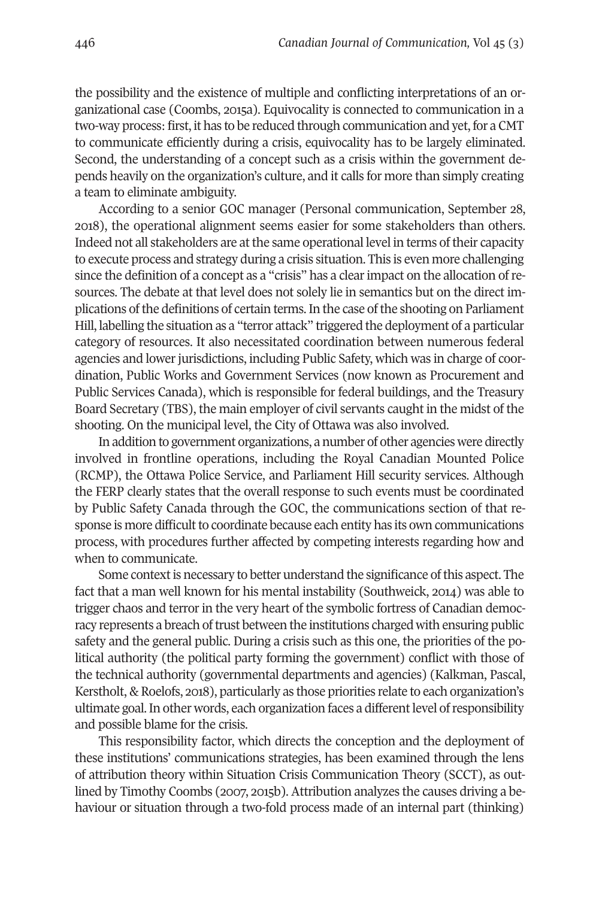the possibility and the existence of multiple and conflicting interpretations of an organizational case (Coombs, 2015a). Equivocality is connected to communication in a two-way process: first, it has to be reduced through communication and yet, for a CMT to communicate efficiently during a crisis, equivocality has to be largely eliminated. Second, the understanding of a concept such as a crisis within the government depends heavily on the organization's culture, and it calls for more than simply creating a team to eliminate ambiguity.

According to a senior GOC manager (Personal communication, September 28, 2018), the operational alignment seems easier for some stakeholders than others. Indeed not all stakeholders are atthe same operational level in terms oftheir capacity to execute process and strategy during a crisis situation. This is even more challenging since the definition of a concept as a "crisis" has a clearimpact on the allocation ofresources. The debate at that level does not solely lie in semantics but on the direct implications of the definitions of certain terms. In the case of the shooting on Parliament Hill, labelling the situation as a "terror attack" triggered the deployment of a particular category of resources. It also necessitated coordination between numerous federal agencies and lower jurisdictions, including Public Safety, which was in charge of coordination, Public Works and Government Services (now known as Procurement and Public Services Canada), which is responsible for federal buildings, and the Treasury Board Secretary (TBS), the main employer of civil servants caught in the midst of the shooting. On the municipal level, the City of Ottawa was also involved.

In addition to government organizations, a number of other agencies were directly involved in frontline operations, including the Royal Canadian Mounted Police (RCMP), the Ottawa Police Service, and Parliament Hill security services. Although the FERP clearly states that the overall response to such events must be coordinated by Public Safety Canada through the GOC, the communications section of that response is more difficult to coordinate because each entity has its own communications process, with procedures further affected by competing interests regarding how and when to communicate.

Some contextis necessary to better understand the significance ofthis aspect. The fact that a man well known for his mental instability (Southweick, 2014) was able to trigger chaos and terror in the very heart of the symbolic fortress of Canadian democracy represents a breach of trust between the institutions charged with ensuring public safety and the general public. During a crisis such as this one, the priorities of the political authority (the political party forming the government) conflict with those of the technical authority (governmental departments and agencies) (Kalkman, Pascal, Kerstholt, & Roelofs, 2018), particularly as those priorities relate to each organization's ultimate goal.In other words, each organization faces a differentlevel ofresponsibility and possible blame for the crisis.

This responsibility factor, which directs the conception and the deployment of these institutions' communications strategies, has been examined through the lens of attribution theory within Situation Crisis Communication Theory (SCCT), as outlined by Timothy Coombs (2007, 2015b). Attribution analyzes the causes driving a behaviour or situation through a two-fold process made of an internal part (thinking)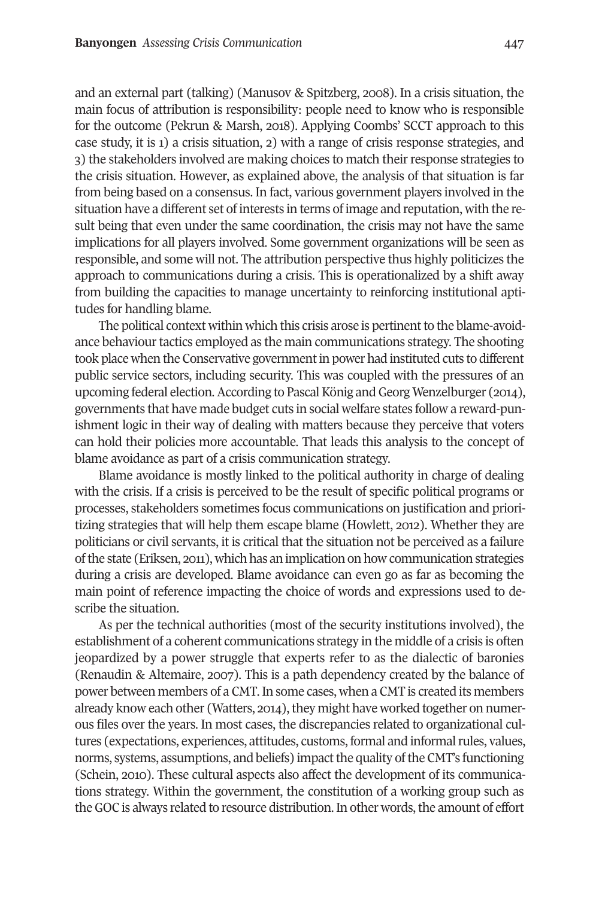and an external part (talking) (Manusov & Spitzberg, 2008). In a crisis situation, the main focus of attribution is responsibility: people need to know who is responsible for the outcome (Pekrun & Marsh, 2018). Applying Coombs' SCCT approach to this case study, it is 1) a crisis situation, 2) with a range of crisis response strategies, and 3) the stakeholders involved are making choices to match their response strategies to the crisis situation. However, as explained above, the analysis of that situation is far from being based on a consensus. In fact, various government players involved in the situation have a different set of interests in terms of image and reputation, with the result being that even under the same coordination, the crisis may not have the same implications for all players involved. Some government organizations will be seen as responsible, and some will not. The attribution perspective thus highly politicizes the approach to communications during a crisis. This is operationalized by a shift away from building the capacities to manage uncertainty to reinforcing institutional aptitudes for handling blame.

The political context within which this crisis arose is pertinent to the blame-avoidance behaviour tactics employed as the main communications strategy. The shooting took place when the Conservative governmentin power had instituted cuts to different public service sectors, including security. This was coupled with the pressures of an upcoming federal election. According to Pascal König and Georg Wenzelburger (2014), governments that have made budget cuts in social welfare states follow a reward-punishment logic in their way of dealing with matters because they perceive that voters can hold their policies more accountable. That leads this analysis to the concept of blame avoidance as part of a crisis communication strategy.

Blame avoidance is mostly linked to the political authority in charge of dealing with the crisis. If a crisis is perceived to be the result of specific political programs or processes, stakeholders sometimes focus communications on justification and prioritizing strategies that will help them escape blame (Howlett, 2012). Whether they are politicians or civil servants, it is critical that the situation not be perceived as a failure ofthe state (Eriksen, 2011), which has an implication on how communication strategies during a crisis are developed. Blame avoidance can even go as far as becoming the main point of reference impacting the choice of words and expressions used to describe the situation.

As per the technical authorities (most of the security institutions involved), the establishment of a coherent communications strategy in the middle of a crisis is often jeopardized by a power struggle that experts refer to as the dialectic of baronies (Renaudin & Altemaire, 2007). This is a path dependency created by the balance of power between members of a CMT.In some cases, when a CMT is created its members already know each other (Watters, 2014), they might have worked together on numerous files over the years. In most cases, the discrepancies related to organizational cultures (expectations, experiences, attitudes, customs, formal and informal rules, values, norms, systems, assumptions, and beliefs) impact the quality of the CMT's functioning (Schein, 2010). These cultural aspects also affect the development of its communications strategy. Within the government, the constitution of a working group such as the GOC is always related to resource distribution. In other words, the amount of effort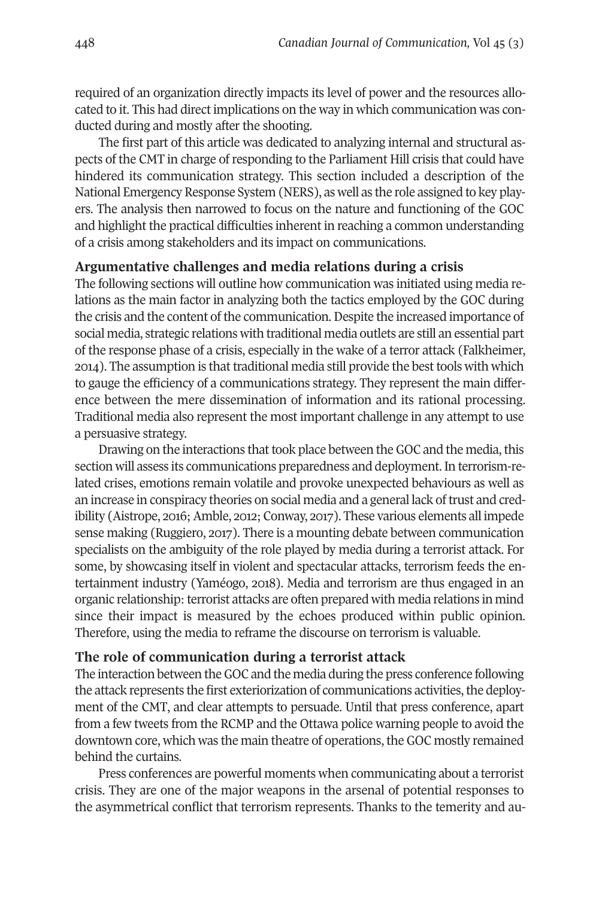required of an organization directly impacts its level of power and the resources allocated to it. This had direct implications on the way in which communication was conducted during and mostly after the shooting.

The first part of this article was dedicated to analyzing internal and structural aspects of the CMT in charge of responding to the Parliament Hill crisis that could have hindered its communication strategy. This section included a description of the National Emergency Response System (NERS), as well as the role assigned to key players. The analysis then narrowed to focus on the nature and functioning of the GOC and highlight the practical difficulties inherent in reaching a common understanding of a crisis among stakeholders and its impact on communications.

#### **Argumentative challenges and media relations during a crisis**

The following sections will outline how communication was initiated using media relations as the main factor in analyzing both the tactics employed by the GOC during the crisis and the content of the communication. Despite the increased importance of social media, strategic relations with traditional media outlets are still an essential part of the response phase of a crisis, especially in the wake of a terror attack (Falkheimer, 2014). The assumption is that traditional media still provide the best tools with which to gauge the efficiency of a communications strategy. They represent the main difference between the mere dissemination of information and its rational processing. Traditional media also represent the most important challenge in any attempt to use a persuasive strategy.

Drawing on the interactions that took place between the GOC and the media, this section will assess its communications preparedness and deployment. In terrorism-related crises, emotions remain volatile and provoke unexpected behaviours as well as an increase in conspiracy theories on social media and a general lack oftrust and credibility (Aistrope, 2016; Amble, 2012; Conway, 2017). These various elements all impede sense making (Ruggiero, 2017). There is a mounting debate between communication specialists on the ambiguity of the role played by media during a terrorist attack. For some, by showcasing itself in violent and spectacular attacks, terrorism feeds the entertainment industry (Yaméogo, 2018). Media and terrorism are thus engaged in an organic relationship: terrorist attacks are often prepared with media relations in mind since their impact is measured by the echoes produced within public opinion. Therefore, using the media to reframe the discourse on terrorism is valuable.

# **The role of communication during a terrorist attack**

The interaction between theGOC and the media during the press conference following the attack represents the first exteriorization of communications activities, the deployment of the CMT, and clear attempts to persuade. Until that press conference, apart from a few tweets from the RCMP and the Ottawa police warning people to avoid the downtown core, which was the main theatre of operations, the GOC mostly remained behind the curtains.

Press conferences are powerful moments when communicating about a terrorist crisis. They are one of the major weapons in the arsenal of potential responses to the asymmetrical conflict that terrorism represents. Thanks to the temerity and au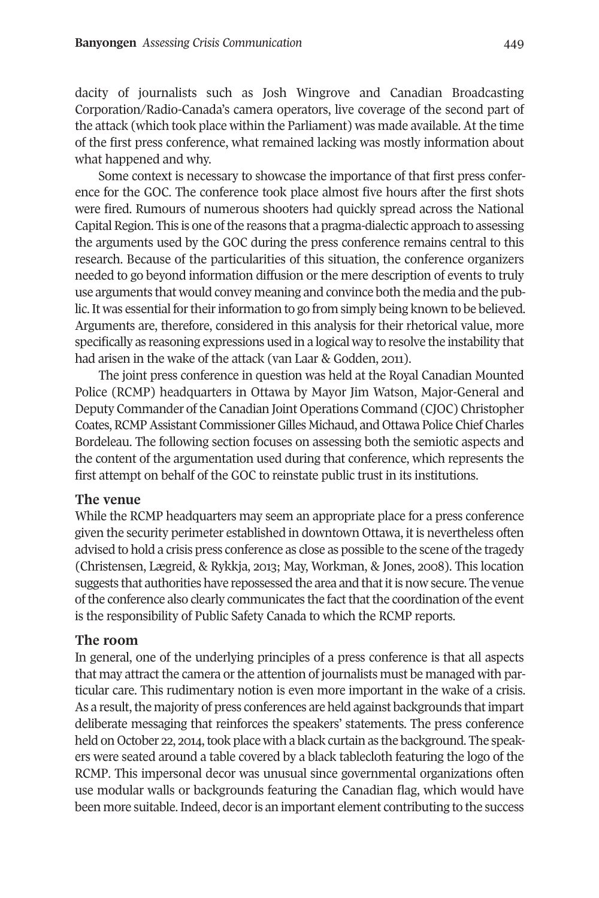dacity of journalists such as Josh Wingrove and Canadian Broadcasting Corporation/Radio-Canada's camera operators, live coverage of the second part of the attack (which took place within the Parliament) was made available. At the time of the first press conference, what remained lacking was mostly information about what happened and why.

Some context is necessary to showcase the importance of that first press conference for the GOC. The conference took place almost five hours after the first shots were fired. Rumours of numerous shooters had quickly spread across the National Capital Region. This is one of the reasons that a pragma-dialectic approach to assessing the arguments used by the GOC during the press conference remains central to this research. Because of the particularities of this situation, the conference organizers needed to go beyond information diffusion or the mere description of events to truly use arguments that would convey meaning and convince both the media and the public. It was essential for their information to go from simply being known to be believed. Arguments are, therefore, considered in this analysis for their rhetorical value, more specifically as reasoning expressions used in a logical way to resolve the instability that had arisen in the wake of the attack (van Laar & Godden, 2011).

The joint press conference in question was held at the Royal Canadian Mounted Police (RCMP) headquarters in Ottawa by Mayor Jim Watson, Major-General and Deputy Commander of the Canadian Joint Operations Command (CJOC) Christopher Coates,RCMPAssistant CommissionerGilles Michaud, and Ottawa Police Chief Charles Bordeleau. The following section focuses on assessing both the semiotic aspects and the content of the argumentation used during that conference, which represents the first attempt on behalf of the GOC to reinstate public trust in its institutions.

# **The venue**

While the RCMP headquarters may seem an appropriate place for a press conference given the security perimeter established in downtown Ottawa, it is nevertheless often advised to hold a crisis press conference as close as possible to the scene of the tragedy (Christensen, Lægreid, & Rykkja, 2013; May, Workman, & Jones, 2008). This location suggests that authorities have repossessed the area and that it is now secure. The venue of the conference also clearly communicates the fact that the coordination of the event is the responsibility of Public Safety Canada to which the RCMP reports.

#### **The room**

In general, one of the underlying principles of a press conference is that all aspects that may attract the camera or the attention of journalists must be managed with particular care. This rudimentary notion is even more important in the wake of a crisis. As a result, the majority of press conferences are held against backgrounds that impart deliberate messaging that reinforces the speakers' statements. The press conference held on October 22, 2014, took place with a black curtain as the background. The speakers were seated around a table covered by a black tablecloth featuring the logo of the RCMP. This impersonal decor was unusual since governmental organizations often use modular walls or backgrounds featuring the Canadian flag, which would have been more suitable.Indeed, decoris an important element contributing to the success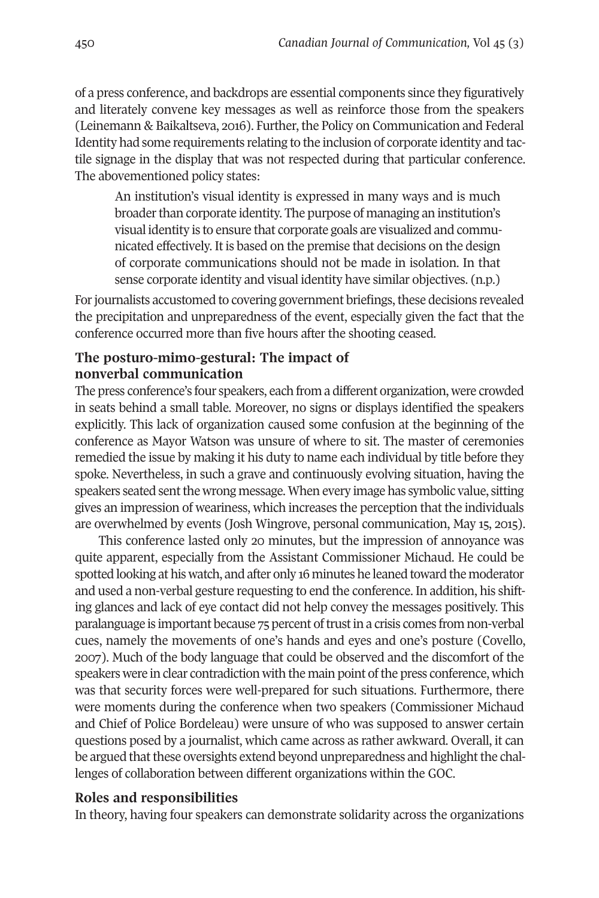of a press conference, and backdrops are essential components since they figuratively and literately convene key messages as well as reinforce those from the speakers (Leinemann & Baikaltseva, 2012). Further, the Policy on Communication and Federal Identity had some requirements relating to the inclusion of corporate identity and tactile signage in the display that was not respected during that particular conference. The abovementioned policy states:

An institution's visual identity is expressed in many ways and is much broader than corporate identity. The purpose of managing an institution's visual identity is to ensure that corporate goals are visualized and communicated effectively. It is based on the premise that decisions on the design of corporate communications should not be made in isolation. In that sense corporate identity and visual identity have similar objectives. (n.p.)

For journalists accustomed to covering government briefings, these decisions revealed the precipitation and unpreparedness of the event, especially given the fact that the conference occurred more than five hours after the shooting ceased.

# **The posturo-mimo-gestural: The impact of nonverbal communication**

The press conference's four speakers, each from a different organization, were crowded in seats behind a small table. Moreover, no signs or displays identified the speakers explicitly. This lack of organization caused some confusion at the beginning of the conference as Mayor Watson was unsure of where to sit. The master of ceremonies remedied the issue by making it his duty to name each individual by title before they spoke. Nevertheless, in such a grave and continuously evolving situation, having the speakers seated sentthe wrong message. When every image has symbolic value, sitting gives an impression of weariness, which increases the perception that the individuals are overwhelmed by events (Josh Wingrove, personal communication, May 15, 2015).

This conference lasted only 20 minutes, but the impression of annoyance was quite apparent, especially from the Assistant Commissioner Michaud. He could be spotted looking at his watch, and after only 16 minutes he leaned toward the moderator and used a non-verbal gesture requesting to end the conference. In addition, his shifting glances and lack of eye contact did not help convey the messages positively. This paralanguage is important because 75 percent of trust in a crisis comes from non-verbal cues, namely the movements of one's hands and eyes and one's posture (Covello, 2007). Much of the body language that could be observed and the discomfort of the speakers were in clear contradiction with the main point of the press conference, which was that security forces were well-prepared for such situations. Furthermore, there were moments during the conference when two speakers (Commissioner Michaud and Chief of Police Bordeleau) were unsure of who was supposed to answer certain questions posed by a journalist, which came across as rather awkward. Overall, it can be argued that these oversights extend beyond unpreparedness and highlight the challenges of collaboration between different organizations within the GOC.

# **Roles and responsibilities**

In theory, having four speakers can demonstrate solidarity across the organizations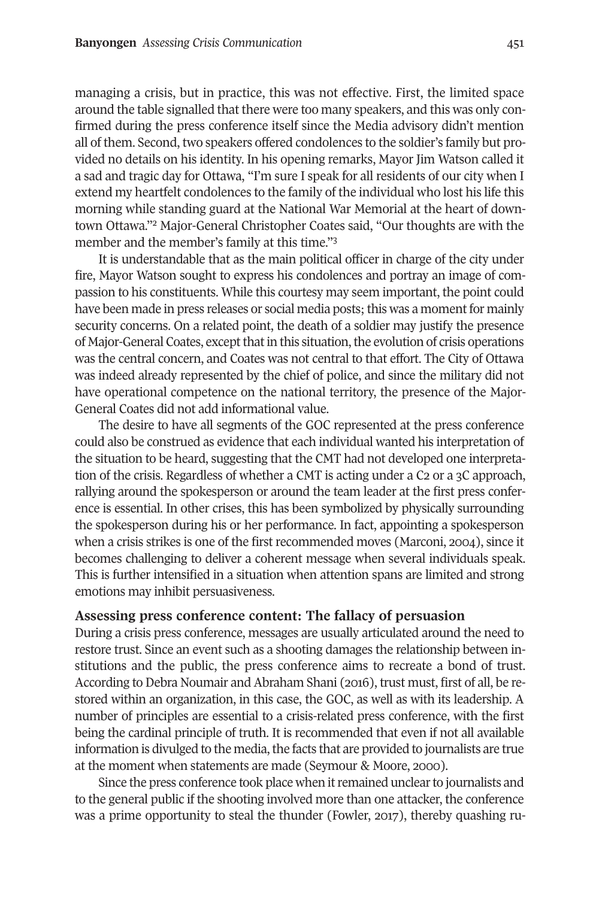managing a crisis, but in practice, this was not effective. First, the limited space around the table signalled that there were too many speakers, and this was only confirmed during the press conference itself since the Media advisory didn't mention all of them. Second, two speakers offered condolences to the soldier's family but provided no details on his identity. In his opening remarks, Mayor Jim Watson called it a sad and tragic day for Ottawa, "I'm sure I speak for all residents of our city when I extend my heartfelt condolences to the family of the individual who lost his life this morning while standing guard at the National War Memorial at the heart of downtown Ottawa.["2](#page-20-1) Major-General Christopher Coates said, "Our thoughts are with the member and the member's family at this time.["3](#page-20-2)

It is understandable that as the main political officer in charge of the city under fire, Mayor Watson sought to express his condolences and portray an image of compassion to his constituents. While this courtesy may seem important, the point could have been made in press releases or social media posts; this was a moment for mainly security concerns. On a related point, the death of a soldier may justify the presence of Major-General Coates, except that in this situation, the evolution of crisis operations was the central concern, and Coates was not central to that effort. The City of Ottawa was indeed already represented by the chief of police, and since the military did not have operational competence on the national territory, the presence of the Major-General Coates did not add informational value.

The desire to have all segments of the GOC represented at the press conference could also be construed as evidence that each individual wanted his interpretation of the situation to be heard, suggesting that the CMT had not developed one interpretation of the crisis. Regardless of whether a CMT is acting under a C2 or a 3C approach, rallying around the spokesperson or around the team leader at the first press conference is essential. In other crises, this has been symbolized by physically surrounding the spokesperson during his or her performance. In fact, appointing a spokesperson when a crisis strikes is one of the first recommended moves (Marconi, 2004), since it becomes challenging to deliver a coherent message when several individuals speak. This is further intensified in a situation when attention spans are limited and strong emotions may inhibit persuasiveness.

#### **Assessing press conference content: The fallacy of persuasion**

During a crisis press conference, messages are usually articulated around the need to restore trust. Since an event such as a shooting damages the relationship between institutions and the public, the press conference aims to recreate a bond of trust. According to Debra Noumair and Abraham Shani (2012), trust must, first of all, be restored within an organization, in this case, the GOC, as well as with its leadership. A number of principles are essential to a crisis-related press conference, with the first being the cardinal principle of truth. It is recommended that even if not all available information is divulged to the media, the facts that are provided to journalists are true at the moment when statements are made (Seymour & Moore, 2000).

Since the press conference took place when it remained unclear to journalists and to the general public if the shooting involved more than one attacker, the conference was a prime opportunity to steal the thunder (Fowler, 2017), thereby quashing ru-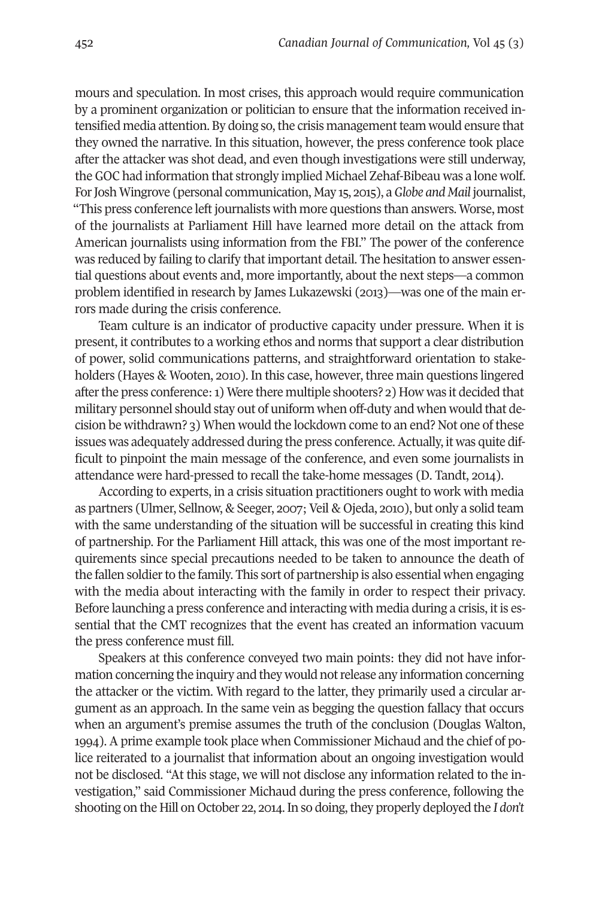mours and speculation. In most crises, this approach would require communication by a prominent organization or politician to ensure that the information received intensified media attention. By doing so, the crisis management team would ensure that they owned the narrative. In this situation, however, the press conference took place after the attacker was shot dead, and even though investigations were still underway, the GOC had information that strongly implied Michael Zehaf-Bibeau was a lone wolf. ForJosh Wingrove (personal communication, May 15, 2015), a*Globe and Mail* journalist, "This press conference left journalists with more questions than answers. Worse, most of the journalists at Parliament Hill have learned more detail on the attack from American journalists using information from the FBI." The power of the conference was reduced by failing to clarify that important detail. The hesitation to answer essential questions about events and, more importantly, about the next steps—a common problem identified in research by James Lukazewski (2013)—was one of the main errors made during the crisis conference.

Team culture is an indicator of productive capacity under pressure. When it is present, it contributes to a working ethos and norms that support a clear distribution of power, solid communications patterns, and straightforward orientation to stakeholders (Hayes & Wooten, 2010). In this case, however, three main questions lingered after the press conference:  $1$ ) Were there multiple shooters?  $2$ ) How was it decided that military personnel should stay out of uniform when off-duty and when would that decision be withdrawn? 3) When would the lockdown come to an end? Not one of these issues was adequately addressed during the press conference. Actually, it was quite difficult to pinpoint the main message of the conference, and even some journalists in attendance were hard-pressed to recall the take-home messages (D. Tandt, 2014).

According to experts, in a crisis situation practitioners ought to work with media as partners (Ulmer, Sellnow, & Seeger, 2007; Veil & Ojeda, 2010), but only a solid team with the same understanding of the situation will be successful in creating this kind of partnership. For the Parliament Hill attack, this was one of the most important requirements since special precautions needed to be taken to announce the death of the fallen soldier to the family. This sort of partnership is also essential when engaging with the media about interacting with the family in order to respect their privacy. Before launching a press conference and interacting with media during a crisis, it is essential that the CMT recognizes that the event has created an information vacuum the press conference must fill.

Speakers at this conference conveyed two main points: they did not have information concerning the inquiry and they would notrelease any information concerning the attacker or the victim. With regard to the latter, they primarily used a circular argument as an approach. In the same vein as begging the question fallacy that occurs when an argument's premise assumes the truth of the conclusion (Douglas Walton, 1994). A prime example took place when Commissioner Michaud and the chief of police reiterated to a journalist that information about an ongoing investigation would not be disclosed. "At this stage, we will not disclose any information related to the investigation," said Commissioner Michaud during the press conference, following the shooting on the Hill on October 22, 2014.In so doing,they properly deployed the *I don't*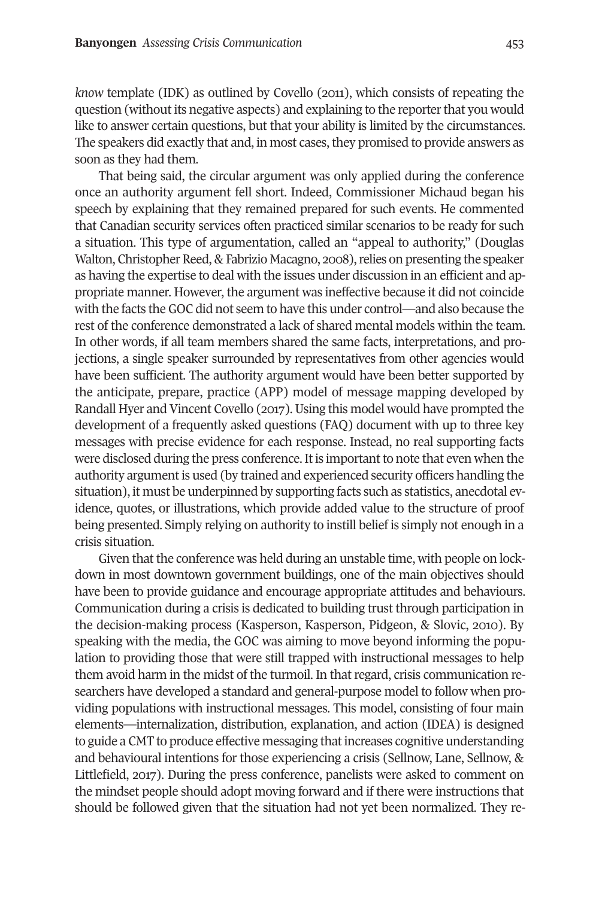*know* template (IDK) as outlined by Covello (2011), which consists of repeating the question (without its negative aspects) and explaining to the reporter that you would like to answer certain questions, but that your ability is limited by the circumstances. The speakers did exactly that and, in most cases,they promised to provide answers as soon as they had them.

That being said, the circular argument was only applied during the conference once an authority argument fell short. Indeed, Commissioner Michaud began his speech by explaining that they remained prepared for such events. He commented that Canadian security services often practiced similar scenarios to be ready for such a situation. This type of argumentation, called an "appeal to authority," (Douglas Walton, Christopher Reed, & Fabrizio Macagno, 2008), relies on presenting the speaker as having the expertise to deal with the issues under discussion in an efficient and appropriate manner. However, the argument was ineffective because it did not coincide with the facts the GOC did not seem to have this under control—and also because the rest of the conference demonstrated a lack of shared mental models within the team. In other words, if all team members shared the same facts, interpretations, and projections, a single speaker surrounded by representatives from other agencies would have been sufficient. The authority argument would have been better supported by the anticipate, prepare, practice (APP) model of message mapping developed by Randall Hyer and Vincent Covello (2017). Using this model would have prompted the development of a frequently asked questions (FAQ) document with up to three key messages with precise evidence for each response. Instead, no real supporting facts were disclosed during the press conference. It is important to note that even when the authority argumentis used (by trained and experienced security officers handling the situation), it must be underpinned by supporting facts such as statistics, anecdotal evidence, quotes, or illustrations, which provide added value to the structure of proof being presented. Simply relying on authority to instill belief is simply not enough in a crisis situation.

Given that the conference was held during an unstable time, with people on lockdown in most downtown government buildings, one of the main objectives should have been to provide guidance and encourage appropriate attitudes and behaviours. Communication during a crisis is dedicated to building trust through participation in the decision-making process (Kasperson, Kasperson, Pidgeon, & Slovic, 2010). By speaking with the media, the GOC was aiming to move beyond informing the population to providing those that were still trapped with instructional messages to help them avoid harm in the midst of the turmoil. In that regard, crisis communication researchers have developed a standard and general-purpose model to follow when providing populations with instructional messages. This model, consisting of four main elements—internalization, distribution, explanation, and action (IDEA) is designed to guide a CMT to produce effective messaging that increases cognitive understanding and behavioural intentions for those experiencing a crisis (Sellnow, Lane, Sellnow, & Littlefield, 2017). During the press conference, panelists were asked to comment on the mindset people should adopt moving forward and if there were instructions that should be followed given that the situation had not yet been normalized. They re-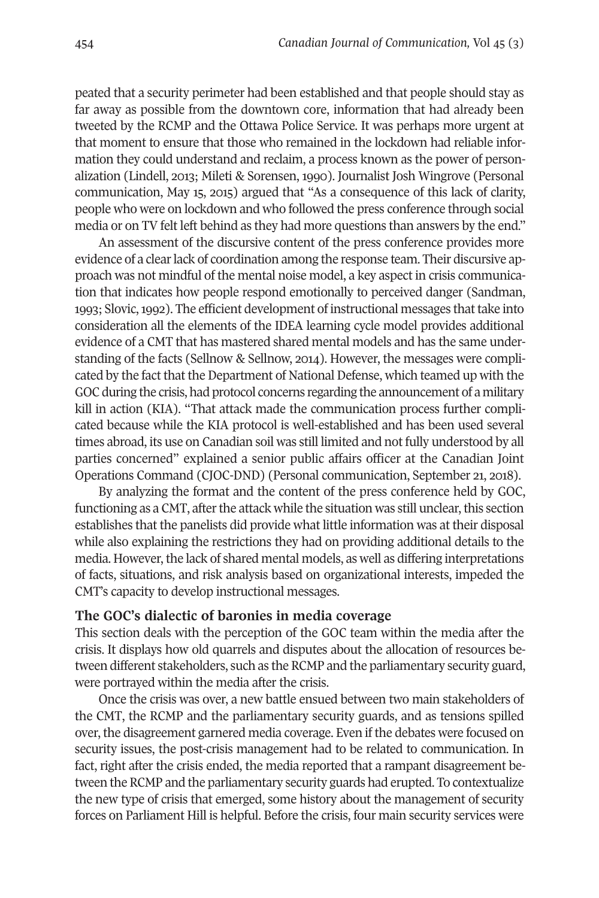peated that a security perimeter had been established and that people should stay as far away as possible from the downtown core, information that had already been tweeted by the RCMP and the Ottawa Police Service. It was perhaps more urgent at that moment to ensure that those who remained in the lockdown had reliable information they could understand and reclaim, a process known as the power of personalization (Lindell, 2013; Mileti & Sorensen, 1990). Journalist Josh Wingrove (Personal communication, May 15, 2015) argued that "As a consequence of this lack of clarity, people who were on lockdown and who followed the press conference through social media or on TV felt left behind as they had more questions than answers by the end."

An assessment of the discursive content of the press conference provides more evidence of a clearlack of coordination among the response team. Their discursive approach was not mindful of the mental noise model, a key aspect in crisis communication that indicates how people respond emotionally to perceived danger (Sandman, 1993; Slovic, 1992). The efficient development of instructional messages that take into consideration all the elements of the IDEA learning cycle model provides additional evidence of a CMT that has mastered shared mental models and has the same understanding of the facts (Sellnow & Sellnow, 2014). However, the messages were complicated by the fact that the Department of National Defense, which teamed up with the GOC during the crisis, had protocol concerns regarding the announcement of a military kill in action (KIA). "That attack made the communication process further complicated because while the KIA protocol is well-established and has been used several times abroad, its use on Canadian soil was still limited and not fully understood by all parties concerned" explained a senior public affairs officer at the Canadian Joint Operations Command (CJOC-DND) (Personal communication, September 21, 2018).

By analyzing the format and the content of the press conference held by GOC, functioning as a CMT, after the attack while the situation was still unclear, this section establishes that the panelists did provide what little information was at their disposal while also explaining the restrictions they had on providing additional details to the media. However, the lack of shared mental models, as well as differing interpretations of facts, situations, and risk analysis based on organizational interests, impeded the CMT's capacity to develop instructional messages.

# **The GOC's dialectic of baronies in media coverage**

This section deals with the perception of the GOC team within the media after the crisis. It displays how old quarrels and disputes about the allocation of resources between different stakeholders, such as the RCMP and the parliamentary security guard, were portrayed within the media after the crisis.

Once the crisis was over, a new battle ensued between two main stakeholders of the CMT, the RCMP and the parliamentary security guards, and as tensions spilled over, the disagreement garnered media coverage. Even if the debates were focused on security issues, the post-crisis management had to be related to communication. In fact, right after the crisis ended, the media reported that a rampant disagreement between the RCMP and the parliamentary security guards had erupted. To contextualize the new type of crisis that emerged, some history about the management of security forces on Parliament Hill is helpful. Before the crisis, four main security services were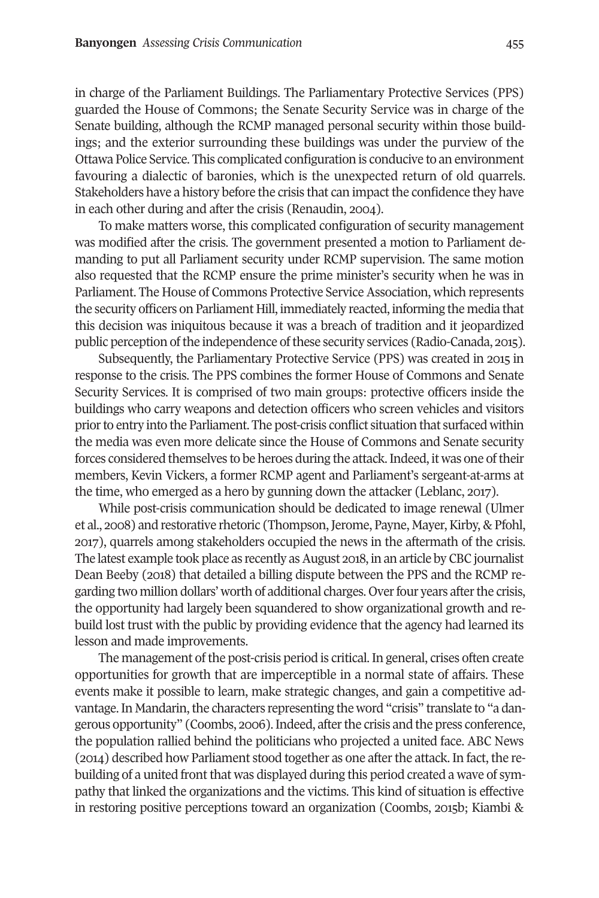in charge of the Parliament Buildings. The Parliamentary Protective Services (PPS) guarded the House of Commons; the Senate Security Service was in charge of the Senate building, although the RCMP managed personal security within those buildings; and the exterior surrounding these buildings was under the purview of the Ottawa Police Service. This complicated configuration is conducive to an environment favouring a dialectic of baronies, which is the unexpected return of old quarrels. Stakeholders have a history before the crisis that can impact the confidence they have in each other during and after the crisis (Renaudin, 2004).

To make matters worse, this complicated configuration of security management was modified after the crisis. The government presented a motion to Parliament demanding to put all Parliament security under RCMP supervision. The same motion also requested that the RCMP ensure the prime minister's security when he was in Parliament. The House of Commons Protective Service Association, which represents the security officers on Parliament Hill, immediately reacted, informing the media that this decision was iniquitous because it was a breach of tradition and it jeopardized public perception of the independence of these security services (Radio-Canada, 2015).

Subsequently, the Parliamentary Protective Service (PPS) was created in 2015 in response to the crisis. The PPS combines the former House of Commons and Senate Security Services. It is comprised of two main groups: protective officers inside the buildings who carry weapons and detection officers who screen vehicles and visitors priorto entry into the Parliament.The post-crisis conflict situation that surfaced within the media was even more delicate since the House of Commons and Senate security forces considered themselves to be heroes during the attack. Indeed, it was one of their members, Kevin Vickers, a former RCMP agent and Parliament's sergeant-at-arms at the time, who emerged as a hero by gunning down the attacker (Leblanc, 2017).

While post-crisis communication should be dedicated to image renewal (Ulmer et al., 2008) and restorative rhetoric (Thompson,Jerome, Payne, Mayer,Kirby, & Pfohl, 2011), quarrels among stakeholders occupied the news in the aftermath of the crisis. The latest example took place as recently as August 2018, in an article by CBC journalist Dean Beeby (2018) that detailed a billing dispute between the PPS and the RCMP regarding two million dollars' worth of additional charges. Overfour years afterthe crisis, the opportunity had largely been squandered to show organizational growth and rebuild lost trust with the public by providing evidence that the agency had learned its lesson and made improvements.

The management of the post-crisis period is critical. In general, crises often create opportunities for growth that are imperceptible in a normal state of affairs. These events make it possible to learn, make strategic changes, and gain a competitive advantage. In Mandarin, the characters representing the word "crisis" translate to "a dangerous opportunity" (Coombs, 2002).Indeed, afterthe crisis and the press conference, the population rallied behind the politicians who projected a united face. ABC News (2014) described how Parliament stood together as one afterthe attack. In fact, the rebuilding of a united front that was displayed during this period created a wave of sympathy that linked the organizations and the victims. This kind of situation is effective in restoring positive perceptions toward an organization (Coombs, 2015b; Kiambi &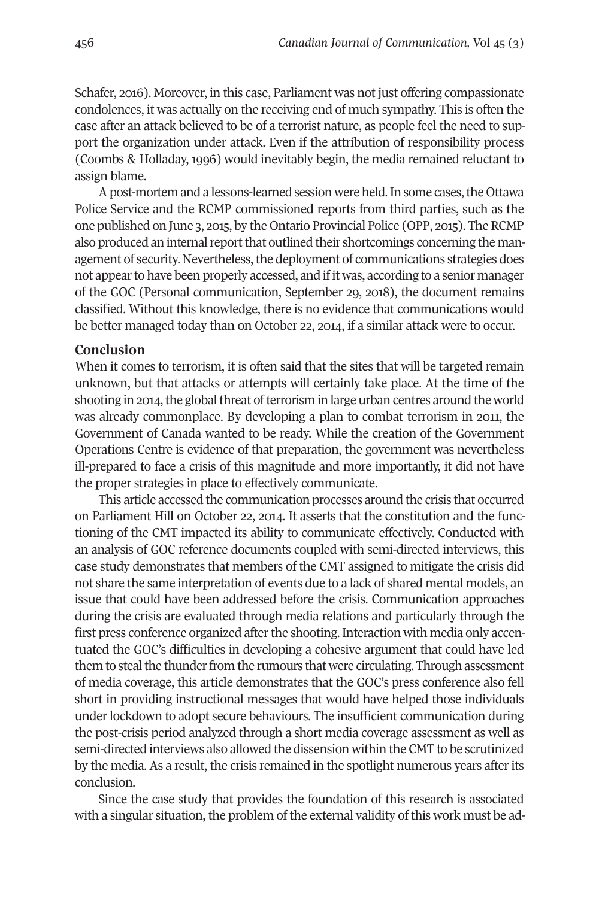Schafer, 2012). Moreover, in this case, Parliament was not just offering compassionate condolences, it was actually on the receiving end of much sympathy. This is often the case after an attack believed to be of a terrorist nature, as people feel the need to support the organization under attack. Even if the attribution of responsibility process (Coombs & Holladay, 1996) would inevitably begin, the media remained reluctant to assign blame.

A post-mortem and a lessons-learned session were held. In some cases, the Ottawa Police Service and the RCMP commissioned reports from third parties, such as the one published on June 3, 2015, by the Ontario Provincial Police (OPP, 2015). TheRCMP also produced an internal report that outlined their shortcomings concerning the management of security. Nevertheless, the deployment of communications strategies does not appear to have been properly accessed, and if it was, according to a senior manager of the GOC (Personal communication, September 29, 2018), the document remains classified. Without this knowledge, there is no evidence that communications would be better managed today than on October 22, 2014, if a similar attack were to occur.

#### **Conclusion**

When it comes to terrorism, it is often said that the sites that will be targeted remain unknown, but that attacks or attempts will certainly take place. At the time of the shooting in 2014, the global threat of terrorism in large urban centres around the world was already commonplace. By developing a plan to combat terrorism in 2011, the Government of Canada wanted to be ready. While the creation of the Government Operations Centre is evidence of that preparation, the government was nevertheless ill-prepared to face a crisis of this magnitude and more importantly, it did not have the proper strategies in place to effectively communicate.

This article accessed the communication processes around the crisis that occurred on Parliament Hill on October 22, 2014. It asserts that the constitution and the functioning of the CMT impacted its ability to communicate effectively. Conducted with an analysis of GOC reference documents coupled with semi-directed interviews, this case study demonstrates that members of the CMT assigned to mitigate the crisis did not share the same interpretation of events due to a lack of shared mental models, an issue that could have been addressed before the crisis. Communication approaches during the crisis are evaluated through media relations and particularly through the first press conference organized after the shooting. Interaction with media only accentuated the GOC's difficulties in developing a cohesive argument that could have led them to steal the thunder from the rumours that were circulating. Through assessment of media coverage, this article demonstrates that the GOC's press conference also fell short in providing instructional messages that would have helped those individuals under lockdown to adopt secure behaviours. The insufficient communication during the post-crisis period analyzed through a short media coverage assessment as well as semi-directed interviews also allowed the dissension within the CMT to be scrutinized by the media. As a result, the crisis remained in the spotlight numerous years afterits conclusion.

Since the case study that provides the foundation of this research is associated with a singular situation, the problem of the external validity of this work must be ad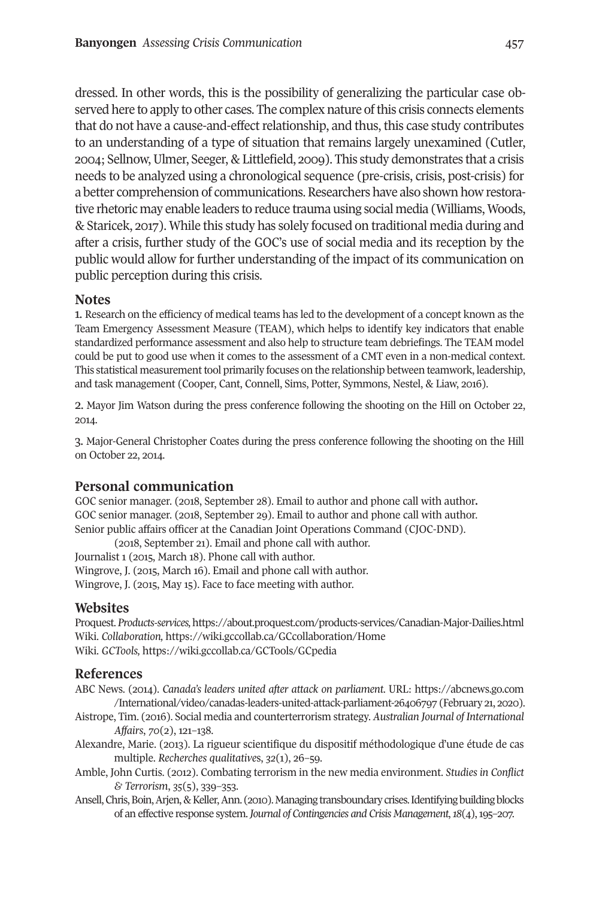dressed. In other words, this is the possibility of generalizing the particular case observed here to apply to other cases. The complex nature of this crisis connects elements that do not have a cause-and-effect relationship, and thus, this case study contributes to an understanding of a type of situation that remains largely unexamined (Cutler, 2004; Sellnow, Ulmer, Seeger, & Littlefield, 2009). This study demonstrates that a crisis needs to be analyzed using a chronological sequence (pre-crisis, crisis, post-crisis) for a better comprehension of communications. Researchers have also shown how restorative rhetoric may enable leaders to reduce trauma using social media (Williams, Woods, & Staricek, 2011). While this study has solely focused on traditional media during and after a crisis, further study of the GOC's use of social media and its reception by the public would allow for further understanding of the impact of its communication on public perception during this crisis.

#### <span id="page-20-0"></span>**Notes**

1. Research on the efficiency of medical teams has led to the development of a concept known as the Team Emergency Assessment Measure (TEAM), which helps to identify key indicators that enable standardized performance assessment and also help to structure team debriefings. The TEAM model could be put to good use when it comes to the assessment of a CMT even in a non-medical context. This statistical measurement tool primarily focuses on the relationship between teamwork, leadership, and task management (Cooper, Cant, Connell, Sims, Potter, Symmons, Nestel, & Liaw, 2012).

2. Mayor Jim Watson during the press conference following the shooting on the Hill on October 22, 2014.

<span id="page-20-2"></span><span id="page-20-1"></span>3. Major-General Christopher Coates during the press conference following the shooting on the Hill on October 22, 2014.

# **Personal communication**

GOC senior manager. (2018, September 28). Email to author and phone call with author**.** GOC senior manager. (2018, September 29). Email to author and phone call with author. Senior public affairs officer at the Canadian Joint Operations Command (CJOC-DND).

(2018, September 21). Email and phone call with author. Journalist 1 (2015, March 18). Phone call with author. Wingrove, J. (2015, March 12). Email and phone call with author. Wingrove, J. (2015, May 15). Face to face meeting with author.

# **Websites**

Proquest. *Products-services,*<https://about.proquest.com/products-services/Canadian-Major-Dailies.html> Wiki. *Collaboration,* <https://wiki.gccollab.ca/GCcollaboration/Home> Wiki. *GCTools,* <https://wiki.gccollab.ca/GCTools/GCpedia>

# **References**

ABC News. (2014). *Canada's leaders united after attack on parliament*. URL: [https://abcnews.go.com](https://abcnews.go.com/International/video/canadas-leaders-united-attack-parliament-26406797) /International/video/canadas-leaders-united-attack-parliament-26406797 (February 21, 2020).

- Aistrope, Tim. (2012). Social media and counterterrorism strategy. *Australian Journal of International Affairs*, *70*(2), 121–138.
- Alexandre, Marie. (2013). La rigueur scientifique du dispositif méthodologique d'une étude de cas multiple. *Recherches qualitatives*, 32(1), 26-59.
- Amble, John Curtis. (2012). Combating terrorism in the new media environment. *Studies in Conflict & Terrorism*, *35*(5), 33>–353.
- Ansell, Chris, Boin, Arjen, & Keller, Ann. (2010). Managing transboundary crises. Identifying building blocks of an effective response system.*Journal of Contingencies and Crisis Management*,*18*(4),1>5–201.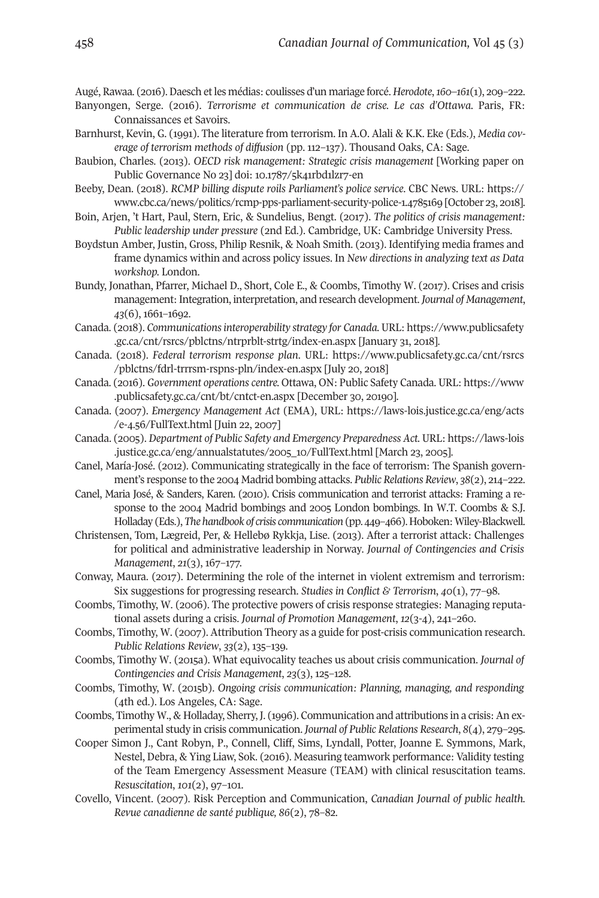Augé, Rawaa. (2012).Daesch etles médias: coulisses d'un mariage forcé. *Herodote*,*160–161*(1), 20>–222.

- Banyongen, Serge. (2012). *Terrorisme et communication de crise. Le cas d'Ottawa.* Paris, FR: Connaissances et Savoirs.
- Barnhurst, Kevin, G. (1991). The literature from terrorism. In A.O. Alali & K.K. Eke (Eds.), *Media coverage of terrorism methods of diffusion* (pp. 112–131). Thousand Oaks, CA: Sage.
- Baubion, Charles. (2013). *OECD risk management: Strategic crisis management* [Working paper on Public Governance No 23] doi: 10.1787/5k41rbd1lzr7-en
- Beeby, Dean. (2018). *RCMP billing dispute roils Parliament's police service*. CBC News. URL: [https://](https://www.cbc.ca/news/politics/rcmp-pps-parliament-security-police-1.4785169) www.cbc.ca/news/politics/rcmp-pps-parliament-security-police-1.4785169 [October 23, 2018].
- Boin, Arjen, 't Hart, Paul, Stern, Eric, & Sundelius, Bengt. (2011). *The politics of crisis management: Public leadership under pressure* (2nd Ed.). Cambridge, UK: Cambridge University Press.
- Boydstun Amber, Justin, Gross, Philip Resnik, & Noah Smith. (2013). Identifying media frames and frame dynamics within and across policy issues. In *New directions in analyzing text as Data workshop.* London.
- Bundy, Jonathan, Pfarrer, Michael D., Short, Cole E., & Coombs, Timothy W. (2017). Crises and crisis management: Integration, interpretation, and research development. *Journal of Management*,  $43(6)$ , 1661-1692.
- Canada. (2018). *Communicationsinteroperability strategy for Canada.* URL: [https://www.publicsafety](https://www.publicsafety.gc.ca/cnt/rsrcs/pblctns/ntrprblt-strtg/index-en.aspx) [.gc.ca/cnt/rsrcs/pblctns/ntrprblt-strtg/index-en.aspx](https://www.publicsafety.gc.ca/cnt/rsrcs/pblctns/ntrprblt-strtg/index-en.aspx) [January 31, 2018].
- Canada. (2018). *Federal terrorism response plan*. URL: [https://www.publicsafety.gc.ca/cnt/rsrcs](https://www.publicsafety.gc.ca/cnt/rsrcs/pblctns/fdrl-trrrsm-rspns-pln/index-en.aspx) [/pblctns/fdrl-trrrsm-rspns-pln/index-en.aspx](https://www.publicsafety.gc.ca/cnt/rsrcs/pblctns/fdrl-trrrsm-rspns-pln/index-en.aspx) [July 20, 2018]
- Canada. (2012). *Government operations centre.* Ottawa, ON: Public Safety Canada. URL: [https://www](https://www.publicsafety.gc.ca/cnt/bt/cntct-en.aspx) [.publicsafety.gc.ca/cnt/bt/cntct-en.aspx](https://www.publicsafety.gc.ca/cnt/bt/cntct-en.aspx) [December 30, 20190].
- Canada. (2001). *Emergency Management Act* (EMA), URL: [https://laws-lois.justice.gc.ca/eng/acts](https://laws-lois.justice.gc.ca/eng/acts/e-4.56/FullText.html) /e-4.56/FullText.html [Juin 22, 2007]
- Canada. (2005). *Department of Public Safety and Emergency Preparedness Act.* URL: [https://laws-lois](https://laws-lois.justice.gc.ca/eng/annualstatutes/2005_10/FullText.html) [.justice.gc.ca/eng/annualstatutes/2005\\_10/FullText.html](https://laws-lois.justice.gc.ca/eng/annualstatutes/2005_10/FullText.html) [March 23, 2005].
- Canel, María-José. (2012). Communicating strategically in the face of terrorism: The Spanish government's response to the 2004 Madrid bombing attacks. *Public Relations Review*, *38*(2), 214–222.
- Canel, Maria José, & Sanders, Karen. (2010). Crisis communication and terrorist attacks: Framing a response to the 2004 Madrid bombings and 2005 London bombings. In W.T. Coombs & S.J. Holladay (Eds.),*Thehandbook of crisis communication*(pp. 44>–422).Hoboken:Wiley-Blackwell.
- Christensen, Tom, Lægreid, Per, & Hellebø Rykkja, Lise. (2013). After a terrorist attack: Challenges for political and administrative leadership in Norway. *Journal of Contingencies and Crisis Management*, 21(3), 167-177.
- Conway, Maura. (2017). Determining the role of the internet in violent extremism and terrorism: Six suggestions for progressing research. *Studies in Conflict* & *Terrorism*,  $40(1)$ ,  $77-98$ .
- Coombs, Timothy, W. (2002). The protective powers of crisis response strategies: Managing reputational assets during a crisis. *Journal of Promotion Management*, *12*(3-4), 241–220.
- Coombs, Timothy, W. (2007). Attribution Theory as a guide for post-crisis communication research. *Public Relations Review*, *33*(2), 135–13>.
- Coombs, Timothy W. (2015a). What equivocality teaches us about crisis communication. *Journal of Contingencies and Crisis Management*, *23*(3), 125–128.
- Coombs, Timothy, W. (2015b). *Ongoing crisis communication: Planning, managing, and responding* (4th ed.). Los Angeles, CA: Sage.
- Coombs, Timothy W., & Holladay, Sherry, J. (1996). Communication and attributions in a crisis: An experimental study in crisis communication. *Journal of Public Relations Research*,  $8(4)$ , 279-295.
- Cooper Simon J., Cant Robyn, P., Connell, Cliff, Sims, Lyndall, Potter, Joanne E. Symmons, Mark, Nestel, Debra, & Ying Liaw, Sok. (2012). Measuring teamwork performance: Validity testing of the Team Emergency Assessment Measure (TEAM) with clinical resuscitation teams. *Resuscitation*,  $101(2)$ ,  $97-101$ .
- Covello, Vincent. (2001). Risk Perception and Communication, *Canadian Journal of public health. Revue canadienne de santé publique, 86*(2), 18–82.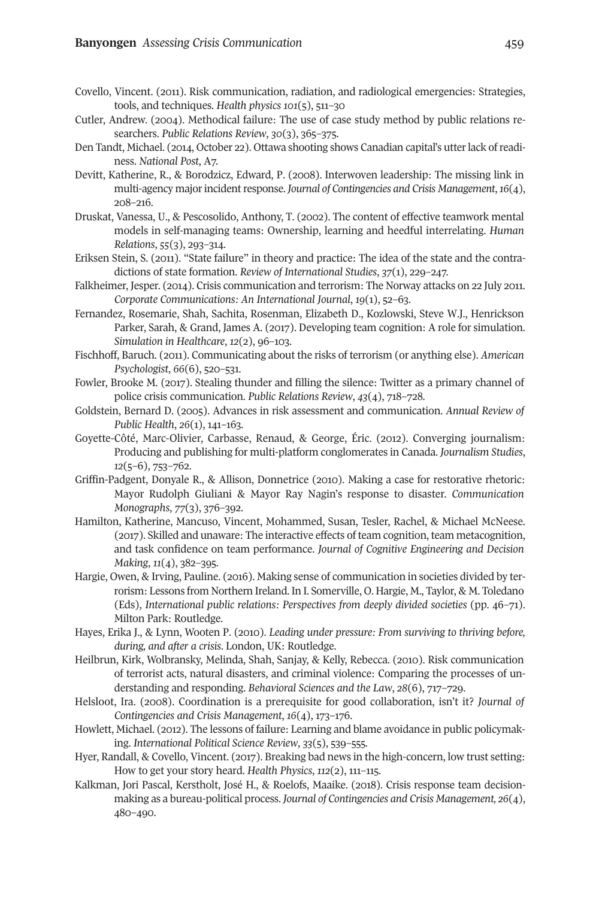- Covello, Vincent. (2011). Risk communication, radiation, and radiological emergencies: Strategies, tools, and techniques. *Health physics 101*(5), 511–30
- Cutler, Andrew. (2004). Methodical failure: The use of case study method by public relations researchers. Public Relations Review, 30(3), 365-375.
- Den Tandt, Michael. (2014, October 22). Ottawa shooting shows Canadian capital's utterlack ofreadi $ness. National Post, A7.$
- Devitt, Katherine, R., & Borodzicz, Edward, P. (2008). Interwoven leadership: The missing link in multi-agency majorincidentresponse. *Journal of Contingencies and Crisis Management*,*16*(4), 208–212.
- Druskat, Vanessa, U., & Pescosolido, Anthony, T. (2002). The content of effective teamwork mental models in self-managing teams: Ownership, learning and heedful interrelating. *Human Relations*, 55(3), 293-314.
- Eriksen Stein, S. (2011). "State failure" in theory and practice: The idea of the state and the contradictions of state formation. *Review of International Studies*,  $37(1)$ , 229–247.
- Falkheimer, Jesper. (2014). Crisis communication and terrorism: The Norway attacks on 22 July 2011. *Corporate Communications: An International Journal*, *19*(1), 52–23.
- Fernandez, Rosemarie, Shah, Sachita, Rosenman, Elizabeth D., Kozlowski, Steve W.J., Henrickson Parker, Sarah, & Grand, James A. (2017). Developing team cognition: A role for simulation. *Simulation in Healthcare*,  $12(2)$ ,  $96-103$ .
- Fischhoff, Baruch. (2011). Communicating about the risks of terrorism (or anything else). *American Psychologist*, *66*(2), 520–531.
- Fowler, Brooke M. (2017). Stealing thunder and filling the silence: Twitter as a primary channel of police crisis communication. *Public Relations Review*, 43(4), 718-728.
- Goldstein, Bernard D. (2005). Advances in risk assessment and communication. *Annual Review of Public Health, 26(1), 141-163.*
- Goyette-Côté, Marc-Olivier, Carbasse, Renaud, & George, Éric. (2012). Converging journalism: Producing and publishing for multi-platform conglomerates in Canada. *Journalism Studies*, *12*(5–6), 753–762.
- Griffin-Padgent, Donyale R., & Allison, Donnetrice (2010). Making a case for restorative rhetoric: Mayor Rudolph Giuliani & Mayor Ray Nagin's response to disaster. *Communication Monographs*,  $77(3)$ ,  $376-392$ .
- Hamilton, Katherine, Mancuso, Vincent, Mohammed, Susan, Tesler, Rachel, & Michael McNeese. (2011). Skilled and unaware: The interactive effects of team cognition, team metacognition, and task confidence on team performance. *Journal of Cognitive Engineering and Decision Making*,  $\frac{11}{4}$ , 382-395.
- Hargie, Owen, & Irving, Pauline. (2012). Making sense of communication in societies divided by terrorism: Lessons from Northern Ireland. In I. Somerville, O. Hargie, M., Taylor, & M. Toledano (Eds), *International public relations: Perspectives from deeply divided societies* (pp. 42–11). Milton Park: Routledge.
- Hayes, Erika J., & Lynn, Wooten P. (2010). *Leading under pressure: From surviving to thriving before, during, and after a crisis*. London, UK: Routledge.
- Heilbrun, Kirk, Wolbransky, Melinda, Shah, Sanjay, & Kelly, Rebecca. (2010). Risk communication of terrorist acts, natural disasters, and criminal violence: Comparing the processes of understanding and responding. *Behavioral Sciences and the Law*,  $28(6)$ ,  $717-729$ .
- Helsloot, Ira. (2008). Coordination is a prerequisite for good collaboration, isn't it? *Journal of Contingencies and Crisis Management, 16(4), 173-176.*
- Howlett, Michael. (2012). The lessons of failure: Learning and blame avoidance in public policymaking. *International Political Science Review*, *33*(5), 53>–555.
- Hyer, Randall, & Covello, Vincent. (2017). Breaking bad news in the high-concern, low trust setting: How to get your story heard. *Health Physics*, *112*(2), 111–115.
- Kalkman, Jori Pascal, Kerstholt, José H., & Roelofs, Maaike. (2018). Crisis response team decisionmaking as a bureau-political process. *Journal of Contingencies and Crisis Management, 26*(4), 480-490.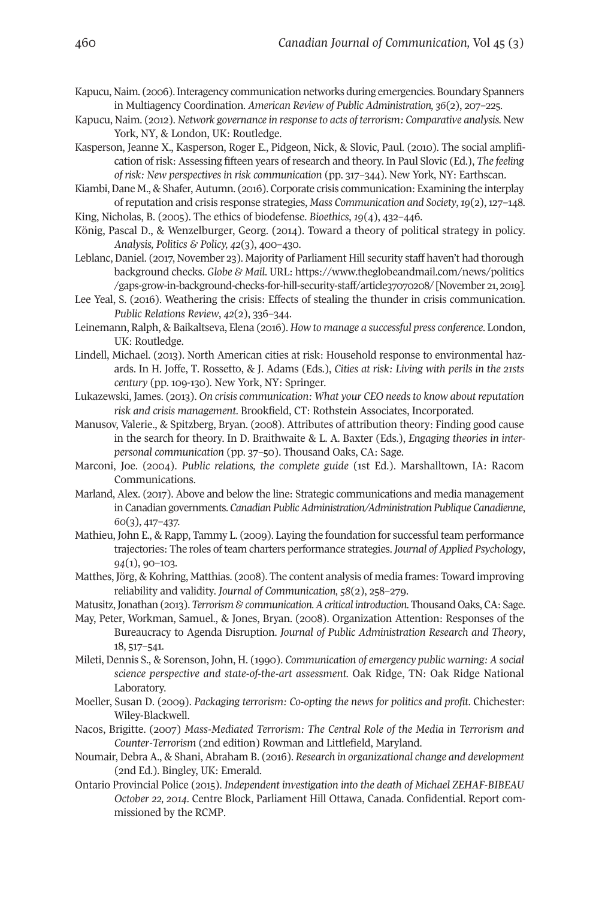Kapucu, Naim. (2002).Interagency communication networks during emergencies. Boundary Spanners in Multiagency Coordination. American Review of Public Administration, 36(2), 207-225.

- Kapucu, Naim. (2012). *Network governance in response to acts of terrorism: Comparative analysis.* New York, NY, & London, UK: Routledge.
- Kasperson, Jeanne X., Kasperson, Roger E., Pidgeon, Nick, & Slovic, Paul. (2010). The social amplification of risk: Assessing fifteen years of research and theory. In Paul Slovic (Ed.), *The feeling of risk: New perspectives in risk communication* (pp. 311–344). New York, NY: Earthscan.
- Kiambi, Dane M., & Shafer, Autumn. (2016). Corporate crisis communication: Examining the interplay ofreputation and crisis response strategies, *Mass Communication and Society*,*19*(2),121–148.
- King, Nicholas, B. (2005). The ethics of biodefense. *Bioethics*, *19*(4), 432–442.
- König, Pascal D., & Wenzelburger, Georg. (2014). Toward a theory of political strategy in policy. *Analysis, Politics & Policy, 42*(3), 400–430.
- Leblanc, Daniel. (2017, November 23). Majority of Parliament Hill security staff haven't had thorough background checks. *Globe & Mail*. URL: [https://www.theglobeandmail.com/news/politics](https://www.theglobeandmail.com/news/politics/gaps-grow-in-background-checks-for-hill-security-staff/article37070208/) /gaps-grow-in-background-checks-for-hill-security-staff/article37070208/ [November 21, 2019].
- Lee Yeal, S. (2012). Weathering the crisis: Effects of stealing the thunder in crisis communication. *Public Relations Review, 42(2), 336-344.*
- Leinemann, Ralph, & Baikaltseva, Elena (2012). *How to manage a successful press conference*. London, UK: Routledge.
- Lindell, Michael. (2013). North American cities at risk: Household response to environmental hazards. In H. Joffe, T. Rossetto, & J. Adams (Eds.), *Cities at risk: Living with perils in the 21sts century* (pp. 109-130). New York, NY: Springer.
- Lukazewski, James. (2013). *On crisis communication: What your CEO needs to know about reputation risk and crisis management*. Brookfield, CT: Rothstein Associates, Incorporated.
- Manusov, Valerie., & Spitzberg, Bryan. (2008). Attributes of attribution theory: Finding good cause in the search for theory. In D. Braithwaite & L. A. Baxter (Eds.), *Engaging theories in interpersonal communication* (pp. 31–50). Thousand Oaks, CA: Sage.
- Marconi, Joe. (2004). *Public relations, the complete guide* (1st Ed.). Marshalltown, IA: Racom Communications.
- Marland, Alex. (2017). Above and below the line: Strategic communications and media management inCanadian governments. *Canadian PublicAdministration/Administration Publique Canadienne*,  $60(3)$ , 417-437.
- Mathieu, John E., & Rapp, Tammy L. (2009). Laying the foundation for successful team performance trajectories: The roles of team charters performance strategies. *Journal of Applied Psychology*,  $94(1)$ , 90-103.
- Matthes, Jörg, & Kohring, Matthias. (2008). The content analysis of media frames: Toward improving reliability and validity. *Journal of Communication*,  $58(2)$ ,  $258-279$ .
- Matusitz,Jonathan (2013). *Terrorism & communication.Acritical introduction*. Thousand Oaks, CA: Sage.
- May, Peter, Workman, Samuel., & Jones, Bryan. (2008). Organization Attention: Responses of the Bureaucracy to Agenda Disruption. *Journal of Public Administration Research and Theory*,  $18, 517 - 541.$
- Mileti, Dennis S., & Sorenson, John, H. (1>>0). *Communication of emergency public warning: A social science perspective and state-of-the-art assessment.* Oak Ridge, TN: Oak Ridge National Laboratory.
- Moeller, Susan D. (200>). *Packaging terrorism: Co-opting the news for politics and profit*. Chichester: Wiley-Blackwell.
- Nacos, Brigitte. (2001) *Mass*‐*Mediated Terrorism: The Central Role of the Media in Terrorism and Counter*‐*Terrorism* (2nd edition) Rowman and Littlefield, Maryland.
- Noumair, Debra A., & Shani, Abraham B. (2012). *Research in organizational change and development* (2nd Ed.). Bingley, UK: Emerald.
- Ontario Provincial Police (2015). *Independent investigation into the death of Michael ZEHAF-BIBEAU October 22, 2014*. Centre Block, Parliament Hill Ottawa, Canada. Confidential. Report commissioned by the RCMP.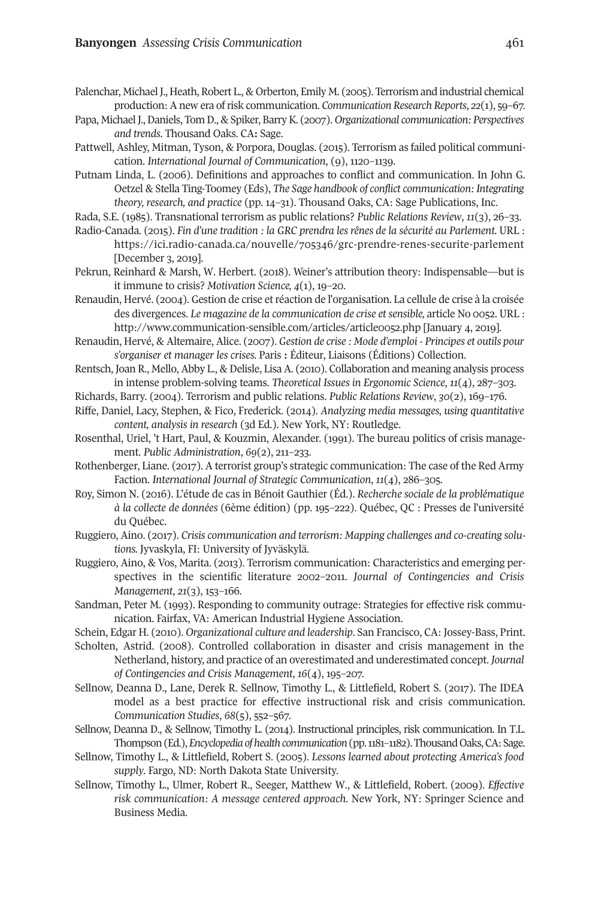- Palenchar, Michael J., Heath, Robert L., & Orberton, Emily M. (2005). Terrorism and industrial chemical production: A new era of risk communication. *Communication Research Reports*,  $22(1)$ , 59-67.
- Papa, MichaelJ.,Daniels, Tom D., & Spiker, BarryK. (2001). *Organizational communication: Perspectives and trends*. Thousand Oaks. CA**:** Sage.
- Pattwell, Ashley, Mitman, Tyson, & Porpora, Douglas. (2015). Terrorism as failed political communication. *International Journal of Communication*, (9), 1120–1139.
- Putnam Linda, L. (2002). Definitions and approaches to conflict and communication. In John G. Oetzel & Stella Ting-Toomey (Eds), *The Sage handbook of conflict communication: Integrating theory, research, and practice* (pp. 14–31). Thousand Oaks, CA: Sage Publications, Inc.
- Rada, S.E. (1>85). Transnational terrorism as public relations? *Public Relations Review*, *11*(3), 22–33.
- Radio-Canada. (2015). *Fin d'une tradition : la GRC prendra les rênes de la sécurité au Parlement.* URL : https://ici.radio-canada.ca/nouvelle/705346/grc-prendre-renes-securite-parlement [December 3, 2019].
- Pekrun, Reinhard & Marsh, W. Herbert. (2018). Weiner's attribution theory: Indispensable—but is it immune to crisis? *Motivation Science*,  $4(1)$ , 19-20.
- Renaudin, Hervé. (2004). Gestion de crise et réaction de l'organisation. La cellule de crise à la croisée des divergences. *Le magazine de la communication de crise etsensible,* article No 0052. URL : <http://www.communication-sensible.com/articles/article0052.php> [January 4, 2019].
- Renaudin, Hervé, & Altemaire, Alice. (2001). *Gestion de crise : Mode d'emploi - Principes et outils pour s'organiser et manager les crises.* Paris **:** Éditeur, Liaisons (Éditions) Collection.
- Rentsch, Joan R., Mello, Abby L., & Delisle, Lisa A. (2010). Collaboration and meaning analysis process in intense problem-solving teams. *Theoretical Issues in Ergonomic Science*, *11*(4), 281–303.
- Richards, Barry. (2004). Terrorism and public relations. *Public Relations Review*, *30*(2), 12>–112.
- Riffe, Daniel, Lacy, Stephen, & Fico, Frederick. (2014). *Analyzing media messages, using quantitative content, analysis in research* (3d Ed.). New York, NY: Routledge.
- Rosenthal, Uriel, 't Hart, Paul, & Kouzmin, Alexander. (1991). The bureau politics of crisis management. *Public Administration*, *69*(2), 211–233.
- Rothenberger, Liane. (2017). A terrorist group's strategic communication: The case of the Red Army Faction. *International Journal of Strategic Communication*, *11*(4), 282–305.
- Roy, Simon N. (2012). L'étude de cas in Bénoit Gauthier (Éd.). *Recherche sociale de la problématique à* la collecte de données (6ème édition) (pp. 195–222). Québec, QC : Presses de l'université du Québec.
- Ruggiero, Aino. (2011). *Crisis communication and terrorism: Mapping challenges and co-creating solutions.* Jyvaskyla, FI: University of Jyväskylä.
- Ruggiero, Aino, & Vos, Marita. (2013). Terrorism communication: Characteristics and emerging perspectives in the scientific literature 2002–2011. *Journal of Contingencies and Crisis Management*, 21(3), 153-166.
- Sandman, Peter M. (1993). Responding to community outrage: Strategies for effective risk communication. Fairfax, VA: American Industrial Hygiene Association.
- Schein, Edgar H. (2010). *Organizational culture and leadership*. San Francisco, CA: Jossey-Bass, Print.
- Scholten, Astrid. (2008). Controlled collaboration in disaster and crisis management in the Netherland, history, and practice of an overestimated and underestimated concept. *Journal of Contingencies and Crisis Management*,  $16(4)$ ,  $195-207$ .
- Sellnow, Deanna D., Lane, Derek R. Sellnow, Timothy L., & Littlefield, Robert S. (2017). The IDEA model as a best practice for effective instructional risk and crisis communication. *Communication Studies*,  $68(5)$ , 552-567.
- Sellnow, Deanna D., & Sellnow, Timothy L. (2014). Instructional principles, risk communication. In T.L. Thompson (Ed.), *Encyclopedia of health communication* (pp. 1181-1182). Thousand Oaks, CA: Sage.
- Sellnow, Timothy L., & Littlefield, Robert S. (2005). *Lessons learned about protecting America's food supply*. Fargo, ND: North Dakota State University.
- Sellnow, Timothy L., Ulmer, Robert R., Seeger, Matthew W., & Littlefield, Robert. (2009). *Effective risk communication: A message centered approach.* New York, NY: Springer Science and Business Media.